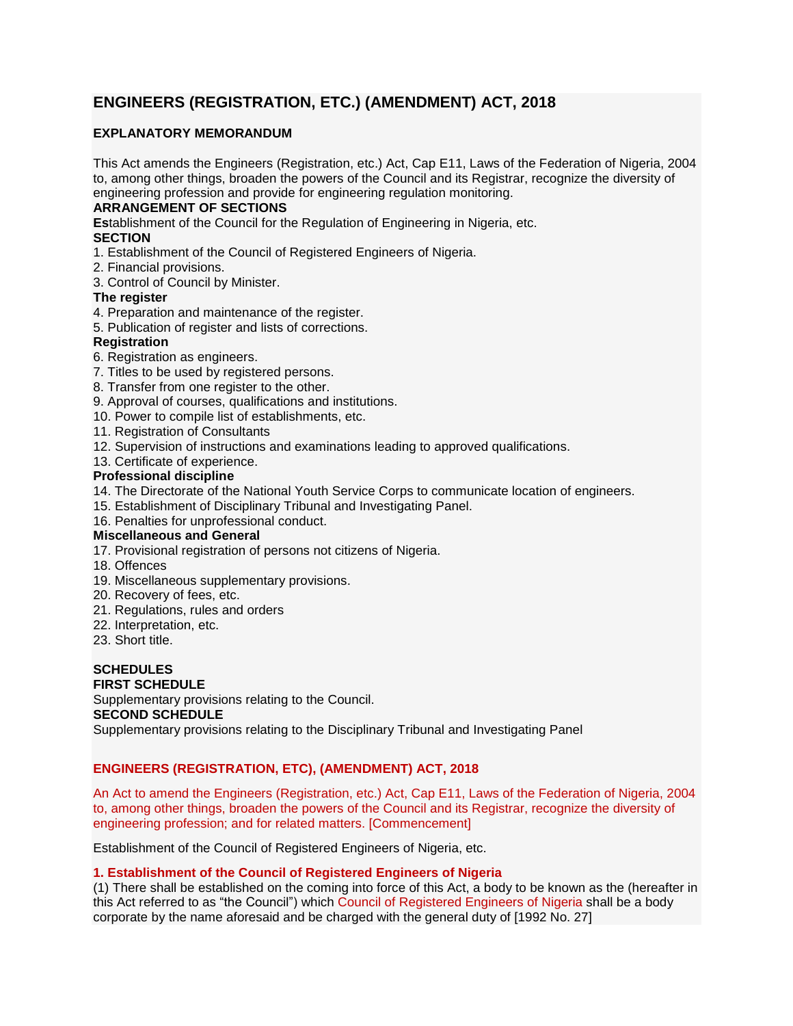# **ENGINEERS (REGISTRATION, ETC.) (AMENDMENT) ACT, 2018**

# **EXPLANATORY MEMORANDUM**

This Act amends the Engineers (Registration, etc.) Act, Cap E11, Laws of the Federation of Nigeria, 2004 to, among other things, broaden the powers of the Council and its Registrar, recognize the diversity of engineering profession and provide for engineering regulation monitoring.

# **ARRANGEMENT OF SECTIONS**

**Es**tablishment of the Council for the Regulation of Engineering in Nigeria, etc. **SECTION**

1. Establishment of the Council of Registered Engineers of Nigeria.

2. Financial provisions.

3. Control of Council by Minister.

# **The register**

- 4. Preparation and maintenance of the register.
- 5. Publication of register and lists of corrections.

# **Registration**

6. Registration as engineers.

- 7. Titles to be used by registered persons.
- 8. Transfer from one register to the other.
- 9. Approval of courses, qualifications and institutions.
- 10. Power to compile list of establishments, etc.
- 11. Registration of Consultants
- 12. Supervision of instructions and examinations leading to approved qualifications.
- 13. Certificate of experience.

# **Professional discipline**

- 14. The Directorate of the National Youth Service Corps to communicate location of engineers.
- 15. Establishment of Disciplinary Tribunal and Investigating Panel.
- 16. Penalties for unprofessional conduct.

# **Miscellaneous and General**

- 17. Provisional registration of persons not citizens of Nigeria.
- 18. Offences
- 19. Miscellaneous supplementary provisions.
- 20. Recovery of fees, etc.
- 21. Regulations, rules and orders
- 22. Interpretation, etc.
- 23. Short title.

#### **SCHEDULES FIRST SCHEDULE**

Supplementary provisions relating to the Council.

## **SECOND SCHEDULE**

Supplementary provisions relating to the Disciplinary Tribunal and Investigating Panel

# **ENGINEERS (REGISTRATION, ETC), (AMENDMENT) ACT, 2018**

An Act to amend the Engineers (Registration, etc.) Act, Cap E11, Laws of the Federation of Nigeria, 2004 to, among other things, broaden the powers of the Council and its Registrar, recognize the diversity of engineering profession; and for related matters. [Commencement]

Establishment of the Council of Registered Engineers of Nigeria, etc.

# **1. Establishment of the Council of Registered Engineers of Nigeria**

(1) There shall be established on the coming into force of this Act, a body to be known as the (hereafter in this Act referred to as "the Council") which Council of Registered Engineers of Nigeria shall be a body corporate by the name aforesaid and be charged with the general duty of [1992 No. 27]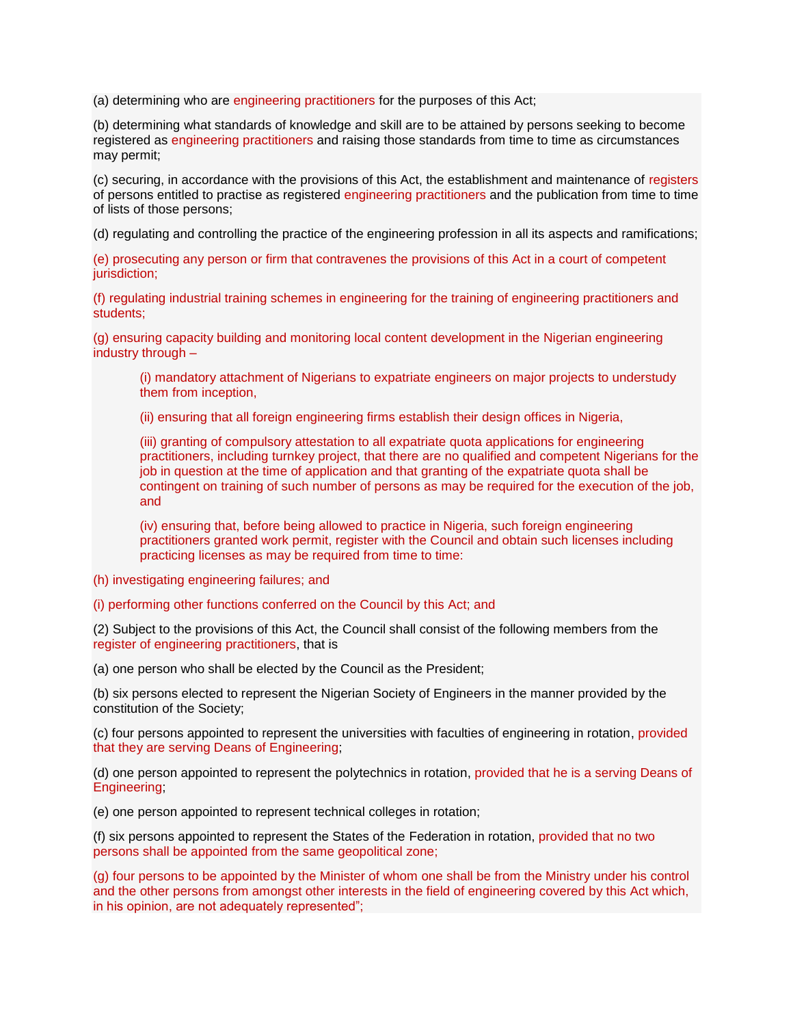(a) determining who are engineering practitioners for the purposes of this Act;

(b) determining what standards of knowledge and skill are to be attained by persons seeking to become registered as engineering practitioners and raising those standards from time to time as circumstances may permit;

(c) securing, in accordance with the provisions of this Act, the establishment and maintenance of registers of persons entitled to practise as registered engineering practitioners and the publication from time to time of lists of those persons;

(d) regulating and controlling the practice of the engineering profession in all its aspects and ramifications;

(e) prosecuting any person or firm that contravenes the provisions of this Act in a court of competent jurisdiction:

(f) regulating industrial training schemes in engineering for the training of engineering practitioners and students;

(g) ensuring capacity building and monitoring local content development in the Nigerian engineering industry through –

(i) mandatory attachment of Nigerians to expatriate engineers on major projects to understudy them from inception,

(ii) ensuring that all foreign engineering firms establish their design offices in Nigeria,

(iii) granting of compulsory attestation to all expatriate quota applications for engineering practitioners, including turnkey project, that there are no qualified and competent Nigerians for the job in question at the time of application and that granting of the expatriate quota shall be contingent on training of such number of persons as may be required for the execution of the job, and

(iv) ensuring that, before being allowed to practice in Nigeria, such foreign engineering practitioners granted work permit, register with the Council and obtain such licenses including practicing licenses as may be required from time to time:

(h) investigating engineering failures; and

(i) performing other functions conferred on the Council by this Act; and

(2) Subject to the provisions of this Act, the Council shall consist of the following members from the register of engineering practitioners, that is

(a) one person who shall be elected by the Council as the President;

(b) six persons elected to represent the Nigerian Society of Engineers in the manner provided by the constitution of the Society;

(c) four persons appointed to represent the universities with faculties of engineering in rotation, provided that they are serving Deans of Engineering;

(d) one person appointed to represent the polytechnics in rotation, provided that he is a serving Deans of Engineering;

(e) one person appointed to represent technical colleges in rotation;

(f) six persons appointed to represent the States of the Federation in rotation, provided that no two persons shall be appointed from the same geopolitical zone;

(g) four persons to be appointed by the Minister of whom one shall be from the Ministry under his control and the other persons from amongst other interests in the field of engineering covered by this Act which, in his opinion, are not adequately represented";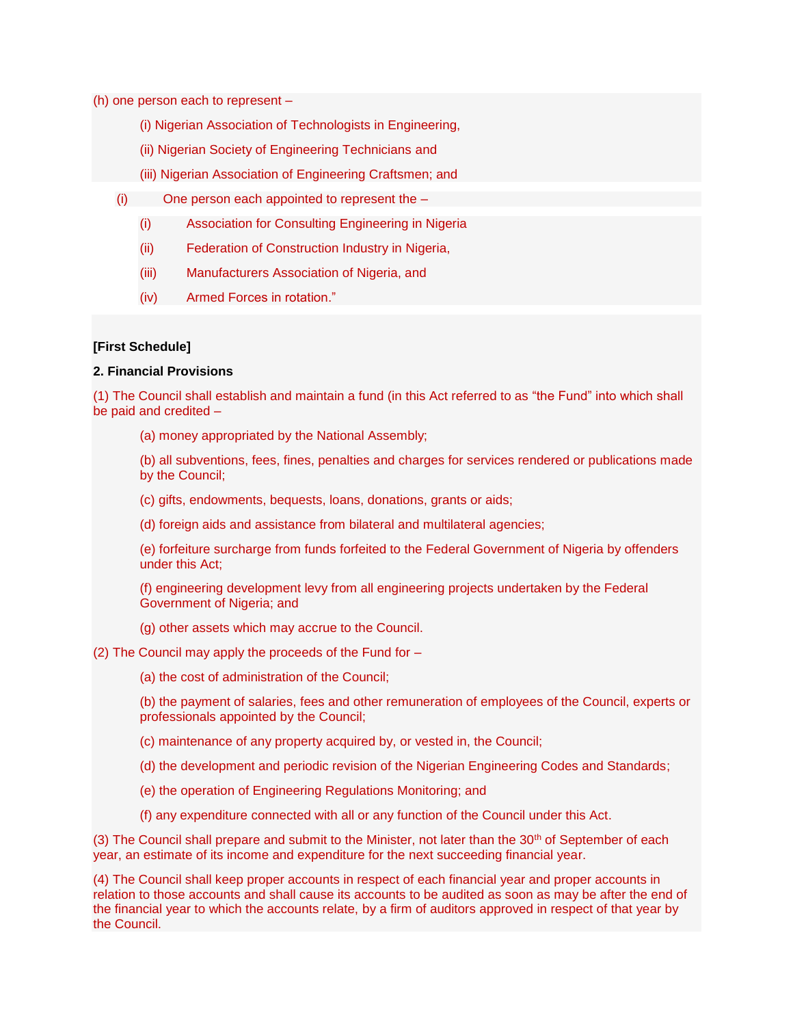(h) one person each to represent –

- (i) Nigerian Association of Technologists in Engineering,
- (ii) Nigerian Society of Engineering Technicians and
- (iii) Nigerian Association of Engineering Craftsmen; and
- (i) One person each appointed to represent the
	- (i) Association for Consulting Engineering in Nigeria
	- (ii) Federation of Construction Industry in Nigeria,
	- (iii) Manufacturers Association of Nigeria, and
	- (iv) Armed Forces in rotation."

# **[First Schedule]**

## **2. Financial Provisions**

(1) The Council shall establish and maintain a fund (in this Act referred to as "the Fund" into which shall be paid and credited –

(a) money appropriated by the National Assembly;

(b) all subventions, fees, fines, penalties and charges for services rendered or publications made by the Council;

(c) gifts, endowments, bequests, loans, donations, grants or aids;

(d) foreign aids and assistance from bilateral and multilateral agencies;

(e) forfeiture surcharge from funds forfeited to the Federal Government of Nigeria by offenders under this Act;

(f) engineering development levy from all engineering projects undertaken by the Federal Government of Nigeria; and

(g) other assets which may accrue to the Council.

## (2) The Council may apply the proceeds of the Fund for –

(a) the cost of administration of the Council;

(b) the payment of salaries, fees and other remuneration of employees of the Council, experts or professionals appointed by the Council;

- (c) maintenance of any property acquired by, or vested in, the Council;
- (d) the development and periodic revision of the Nigerian Engineering Codes and Standards;
- (e) the operation of Engineering Regulations Monitoring; and
- (f) any expenditure connected with all or any function of the Council under this Act.

(3) The Council shall prepare and submit to the Minister, not later than the  $30<sup>th</sup>$  of September of each year, an estimate of its income and expenditure for the next succeeding financial year.

(4) The Council shall keep proper accounts in respect of each financial year and proper accounts in relation to those accounts and shall cause its accounts to be audited as soon as may be after the end of the financial year to which the accounts relate, by a firm of auditors approved in respect of that year by the Council.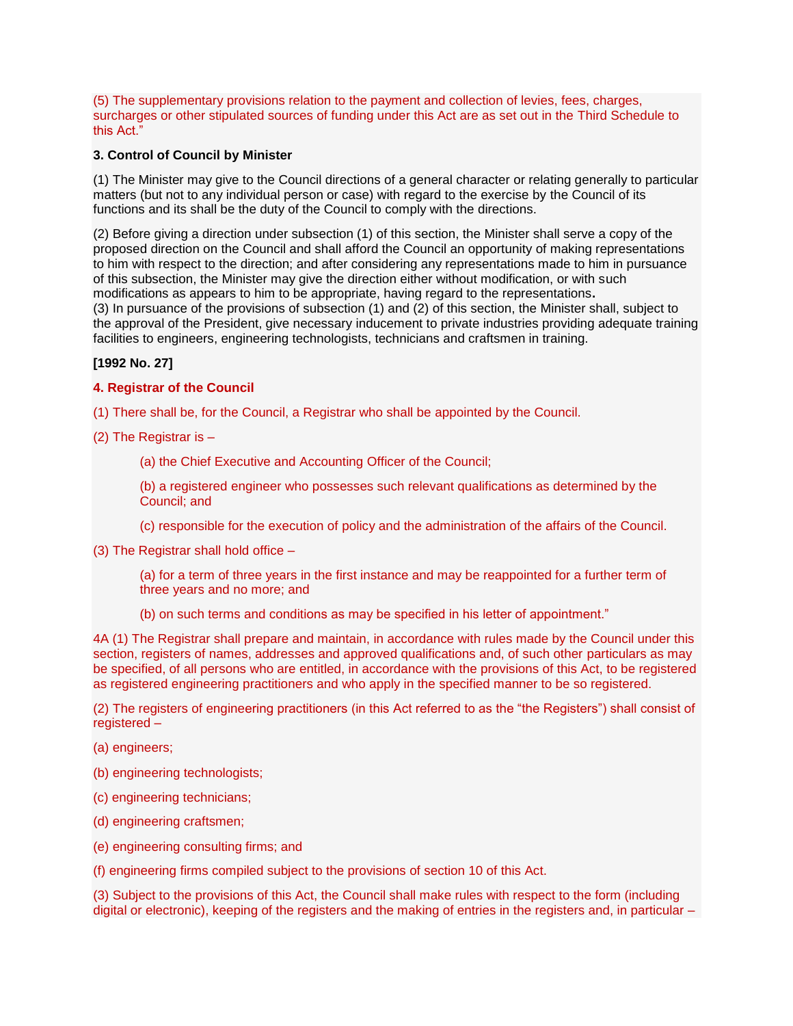(5) The supplementary provisions relation to the payment and collection of levies, fees, charges, surcharges or other stipulated sources of funding under this Act are as set out in the Third Schedule to this Act."

# **3. Control of Council by Minister**

(1) The Minister may give to the Council directions of a general character or relating generally to particular matters (but not to any individual person or case) with regard to the exercise by the Council of its functions and its shall be the duty of the Council to comply with the directions.

(2) Before giving a direction under subsection (1) of this section, the Minister shall serve a copy of the proposed direction on the Council and shall afford the Council an opportunity of making representations to him with respect to the direction; and after considering any representations made to him in pursuance of this subsection, the Minister may give the direction either without modification, or with such modifications as appears to him to be appropriate, having regard to the representations**.** (3) In pursuance of the provisions of subsection (1) and (2) of this section, the Minister shall, subject to the approval of the President, give necessary inducement to private industries providing adequate training facilities to engineers, engineering technologists, technicians and craftsmen in training.

# **[1992 No. 27]**

# **4. Registrar of the Council**

(1) There shall be, for the Council, a Registrar who shall be appointed by the Council.

(2) The Registrar is –

(a) the Chief Executive and Accounting Officer of the Council;

(b) a registered engineer who possesses such relevant qualifications as determined by the Council; and

(c) responsible for the execution of policy and the administration of the affairs of the Council.

(3) The Registrar shall hold office –

(a) for a term of three years in the first instance and may be reappointed for a further term of three years and no more; and

(b) on such terms and conditions as may be specified in his letter of appointment."

4A (1) The Registrar shall prepare and maintain, in accordance with rules made by the Council under this section, registers of names, addresses and approved qualifications and, of such other particulars as may be specified, of all persons who are entitled, in accordance with the provisions of this Act, to be registered as registered engineering practitioners and who apply in the specified manner to be so registered.

(2) The registers of engineering practitioners (in this Act referred to as the "the Registers") shall consist of registered –

(a) engineers;

(b) engineering technologists;

- (c) engineering technicians;
- (d) engineering craftsmen;
- (e) engineering consulting firms; and

(f) engineering firms compiled subject to the provisions of section 10 of this Act.

(3) Subject to the provisions of this Act, the Council shall make rules with respect to the form (including digital or electronic), keeping of the registers and the making of entries in the registers and, in particular –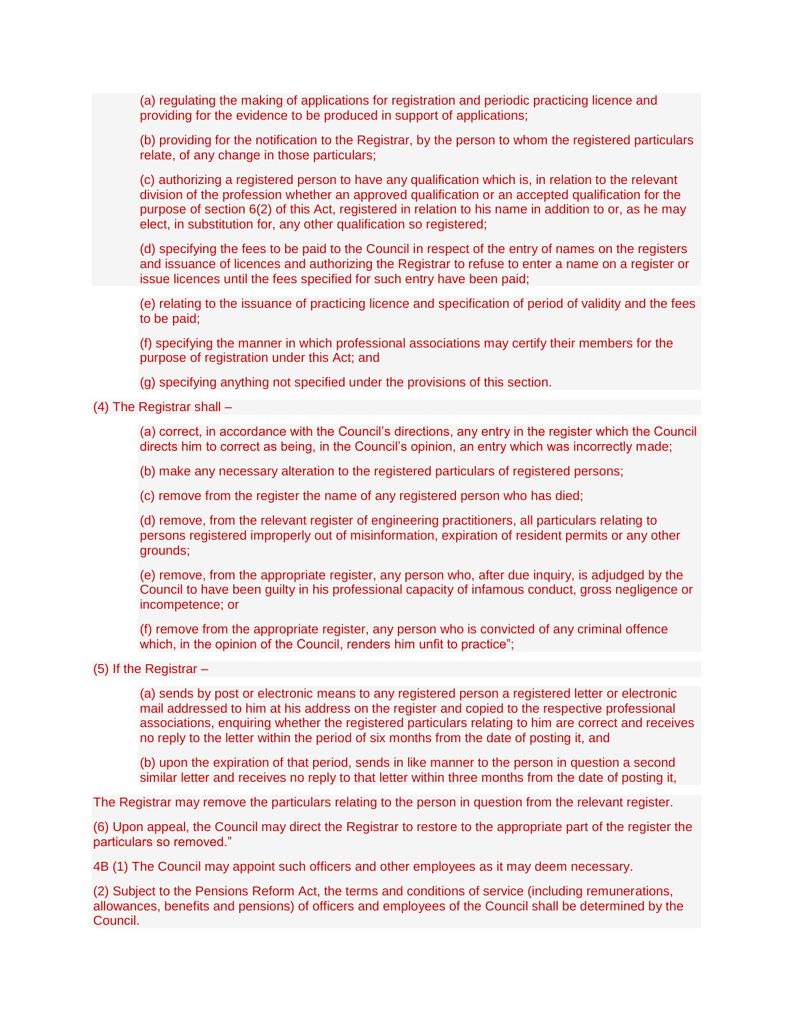(a) regulating the making of applications for registration and periodic practicing licence and providing for the evidence to be produced in support of applications;

(b) providing for the notification to the Registrar, by the person to whom the registered particulars relate, of any change in those particulars;

(c) authorizing a registered person to have any qualification which is, in relation to the relevant division of the profession whether an approved qualification or an accepted qualification for the purpose of section 6(2) of this Act, registered in relation to his name in addition to or, as he may elect, in substitution for, any other qualification so registered;

(d) specifying the fees to be paid to the Council in respect of the entry of names on the registers and issuance of licences and authorizing the Registrar to refuse to enter a name on a register or issue licences until the fees specified for such entry have been paid;

(e) relating to the issuance of practicing licence and specification of period of validity and the fees to be paid;

(f) specifying the manner in which professional associations may certify their members for the purpose of registration under this Act; and

(g) specifying anything not specified under the provisions of this section.

(4) The Registrar shall –

(a) correct, in accordance with the Council's directions, any entry in the register which the Council directs him to correct as being, in the Council's opinion, an entry which was incorrectly made;

(b) make any necessary alteration to the registered particulars of registered persons;

(c) remove from the register the name of any registered person who has died;

(d) remove, from the relevant register of engineering practitioners, all particulars relating to persons registered improperly out of misinformation, expiration of resident permits or any other grounds;

(e) remove, from the appropriate register, any person who, after due inquiry, is adjudged by the Council to have been guilty in his professional capacity of infamous conduct, gross negligence or incompetence; or

(f) remove from the appropriate register, any person who is convicted of any criminal offence which, in the opinion of the Council, renders him unfit to practice";

(5) If the Registrar –

(a) sends by post or electronic means to any registered person a registered letter or electronic mail addressed to him at his address on the register and copied to the respective professional associations, enquiring whether the registered particulars relating to him are correct and receives no reply to the letter within the period of six months from the date of posting it, and

(b) upon the expiration of that period, sends in like manner to the person in question a second similar letter and receives no reply to that letter within three months from the date of posting it,

The Registrar may remove the particulars relating to the person in question from the relevant register.

(6) Upon appeal, the Council may direct the Registrar to restore to the appropriate part of the register the particulars so removed."

4B (1) The Council may appoint such officers and other employees as it may deem necessary.

(2) Subject to the Pensions Reform Act, the terms and conditions of service (including remunerations, allowances, benefits and pensions) of officers and employees of the Council shall be determined by the Council.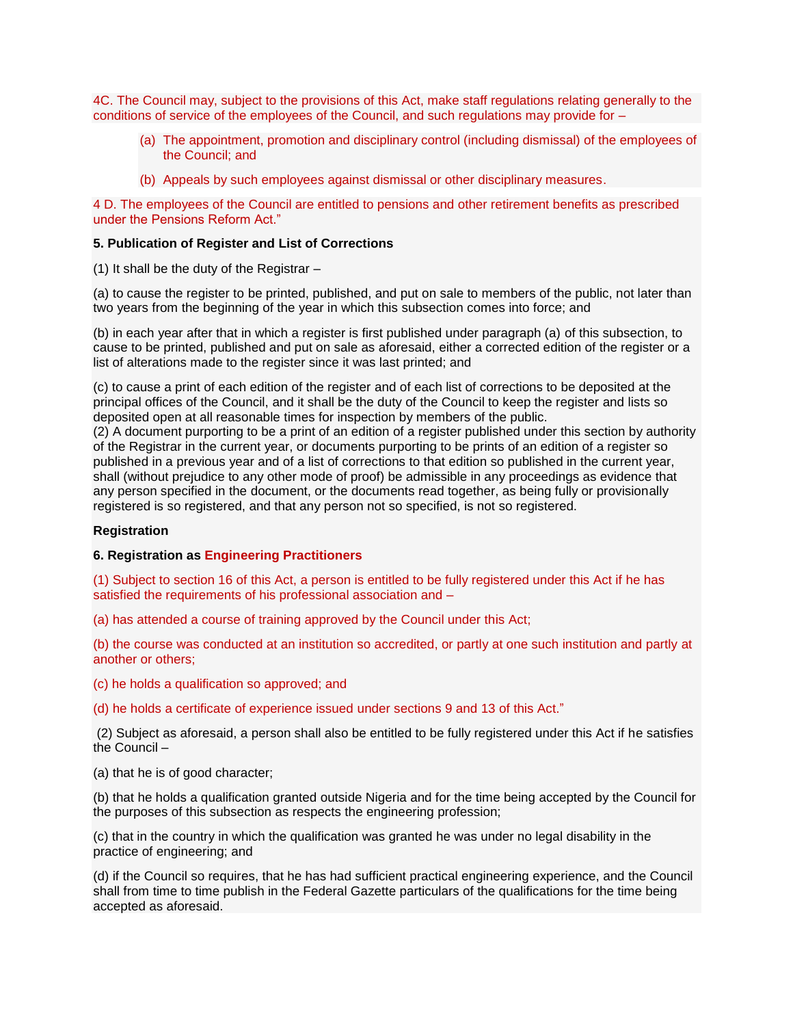4C. The Council may, subject to the provisions of this Act, make staff regulations relating generally to the conditions of service of the employees of the Council, and such regulations may provide for –

- (a) The appointment, promotion and disciplinary control (including dismissal) of the employees of the Council; and
- (b) Appeals by such employees against dismissal or other disciplinary measures.

4 D. The employees of the Council are entitled to pensions and other retirement benefits as prescribed under the Pensions Reform Act."

## **5. Publication of Register and List of Corrections**

(1) It shall be the duty of the Registrar –

(a) to cause the register to be printed, published, and put on sale to members of the public, not later than two years from the beginning of the year in which this subsection comes into force; and

(b) in each year after that in which a register is first published under paragraph (a) of this subsection, to cause to be printed, published and put on sale as aforesaid, either a corrected edition of the register or a list of alterations made to the register since it was last printed; and

(c) to cause a print of each edition of the register and of each list of corrections to be deposited at the principal offices of the Council, and it shall be the duty of the Council to keep the register and lists so deposited open at all reasonable times for inspection by members of the public.

(2) A document purporting to be a print of an edition of a register published under this section by authority of the Registrar in the current year, or documents purporting to be prints of an edition of a register so published in a previous year and of a list of corrections to that edition so published in the current year, shall (without prejudice to any other mode of proof) be admissible in any proceedings as evidence that any person specified in the document, or the documents read together, as being fully or provisionally registered is so registered, and that any person not so specified, is not so registered.

## **Registration**

#### **6. Registration as Engineering Practitioners**

(1) Subject to section 16 of this Act, a person is entitled to be fully registered under this Act if he has satisfied the requirements of his professional association and –

(a) has attended a course of training approved by the Council under this Act;

(b) the course was conducted at an institution so accredited, or partly at one such institution and partly at another or others;

(c) he holds a qualification so approved; and

(d) he holds a certificate of experience issued under sections 9 and 13 of this Act."

(2) Subject as aforesaid, a person shall also be entitled to be fully registered under this Act if he satisfies the Council –

(a) that he is of good character;

(b) that he holds a qualification granted outside Nigeria and for the time being accepted by the Council for the purposes of this subsection as respects the engineering profession;

(c) that in the country in which the qualification was granted he was under no legal disability in the practice of engineering; and

(d) if the Council so requires, that he has had sufficient practical engineering experience, and the Council shall from time to time publish in the Federal Gazette particulars of the qualifications for the time being accepted as aforesaid.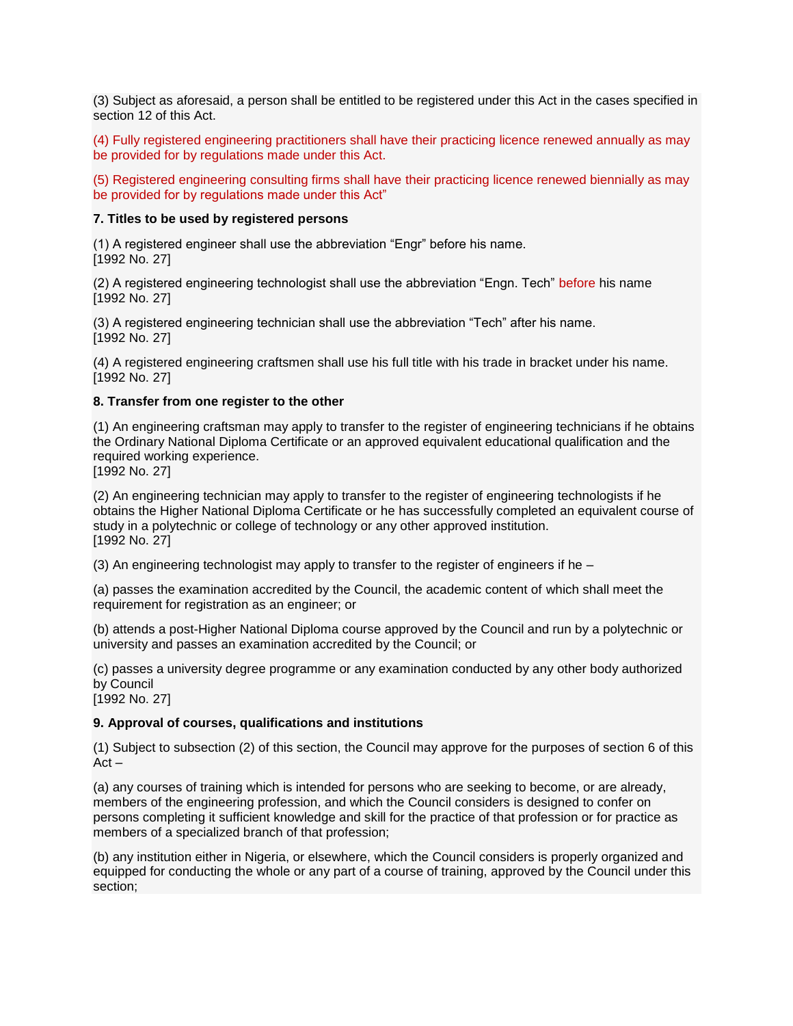(3) Subject as aforesaid, a person shall be entitled to be registered under this Act in the cases specified in section 12 of this Act.

(4) Fully registered engineering practitioners shall have their practicing licence renewed annually as may be provided for by regulations made under this Act.

(5) Registered engineering consulting firms shall have their practicing licence renewed biennially as may be provided for by regulations made under this Act"

#### **7. Titles to be used by registered persons**

(1) A registered engineer shall use the abbreviation "Engr" before his name. [1992 No. 27]

(2) A registered engineering technologist shall use the abbreviation "Engn. Tech" before his name [1992 No. 27]

(3) A registered engineering technician shall use the abbreviation "Tech" after his name. [1992 No. 27]

(4) A registered engineering craftsmen shall use his full title with his trade in bracket under his name. [1992 No. 27]

#### **8. Transfer from one register to the other**

(1) An engineering craftsman may apply to transfer to the register of engineering technicians if he obtains the Ordinary National Diploma Certificate or an approved equivalent educational qualification and the required working experience.

[1992 No. 27]

(2) An engineering technician may apply to transfer to the register of engineering technologists if he obtains the Higher National Diploma Certificate or he has successfully completed an equivalent course of study in a polytechnic or college of technology or any other approved institution. [1992 No. 27]

(3) An engineering technologist may apply to transfer to the register of engineers if he –

(a) passes the examination accredited by the Council, the academic content of which shall meet the requirement for registration as an engineer; or

(b) attends a post-Higher National Diploma course approved by the Council and run by a polytechnic or university and passes an examination accredited by the Council; or

(c) passes a university degree programme or any examination conducted by any other body authorized by Council

[1992 No. 27]

## **9. Approval of courses, qualifications and institutions**

(1) Subject to subsection (2) of this section, the Council may approve for the purposes of section 6 of this Act –

(a) any courses of training which is intended for persons who are seeking to become, or are already, members of the engineering profession, and which the Council considers is designed to confer on persons completing it sufficient knowledge and skill for the practice of that profession or for practice as members of a specialized branch of that profession;

(b) any institution either in Nigeria, or elsewhere, which the Council considers is properly organized and equipped for conducting the whole or any part of a course of training, approved by the Council under this section;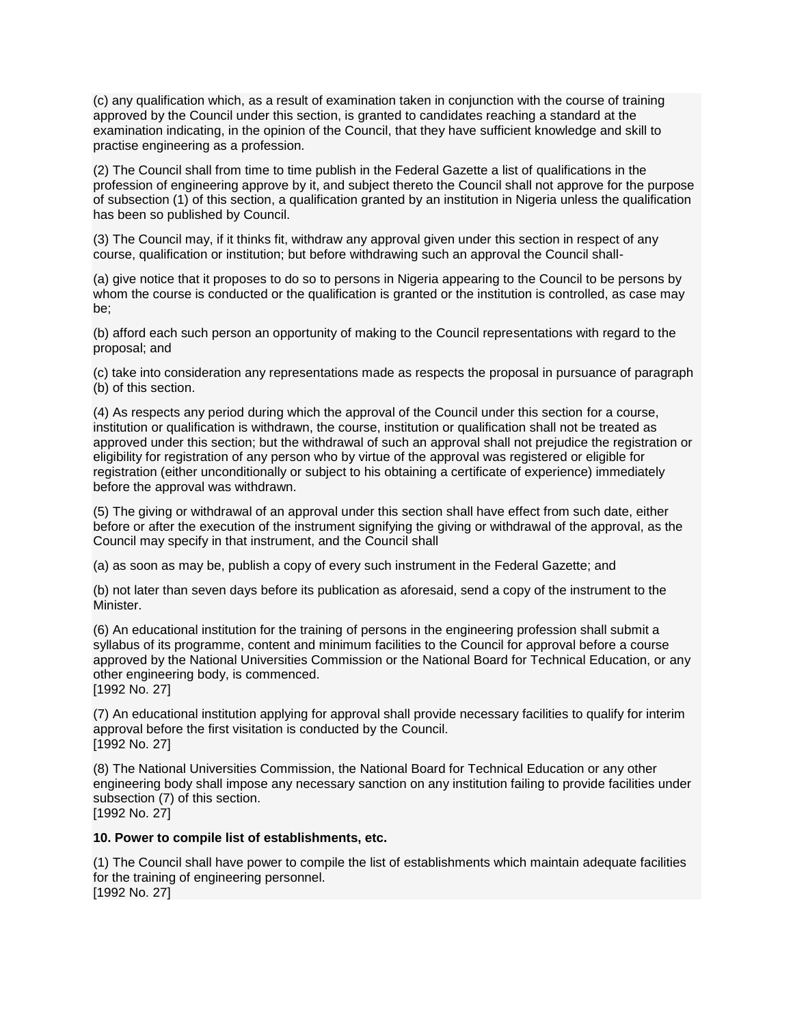(c) any qualification which, as a result of examination taken in conjunction with the course of training approved by the Council under this section, is granted to candidates reaching a standard at the examination indicating, in the opinion of the Council, that they have sufficient knowledge and skill to practise engineering as a profession.

(2) The Council shall from time to time publish in the Federal Gazette a list of qualifications in the profession of engineering approve by it, and subject thereto the Council shall not approve for the purpose of subsection (1) of this section, a qualification granted by an institution in Nigeria unless the qualification has been so published by Council.

(3) The Council may, if it thinks fit, withdraw any approval given under this section in respect of any course, qualification or institution; but before withdrawing such an approval the Council shall-

(a) give notice that it proposes to do so to persons in Nigeria appearing to the Council to be persons by whom the course is conducted or the qualification is granted or the institution is controlled, as case may be;

(b) afford each such person an opportunity of making to the Council representations with regard to the proposal; and

(c) take into consideration any representations made as respects the proposal in pursuance of paragraph (b) of this section.

(4) As respects any period during which the approval of the Council under this section for a course, institution or qualification is withdrawn, the course, institution or qualification shall not be treated as approved under this section; but the withdrawal of such an approval shall not prejudice the registration or eligibility for registration of any person who by virtue of the approval was registered or eligible for registration (either unconditionally or subject to his obtaining a certificate of experience) immediately before the approval was withdrawn.

(5) The giving or withdrawal of an approval under this section shall have effect from such date, either before or after the execution of the instrument signifying the giving or withdrawal of the approval, as the Council may specify in that instrument, and the Council shall

(a) as soon as may be, publish a copy of every such instrument in the Federal Gazette; and

(b) not later than seven days before its publication as aforesaid, send a copy of the instrument to the Minister.

(6) An educational institution for the training of persons in the engineering profession shall submit a syllabus of its programme, content and minimum facilities to the Council for approval before a course approved by the National Universities Commission or the National Board for Technical Education, or any other engineering body, is commenced.

[1992 No. 27]

(7) An educational institution applying for approval shall provide necessary facilities to qualify for interim approval before the first visitation is conducted by the Council. [1992 No. 27]

(8) The National Universities Commission, the National Board for Technical Education or any other engineering body shall impose any necessary sanction on any institution failing to provide facilities under subsection (7) of this section. [1992 No. 27]

## **10. Power to compile list of establishments, etc.**

(1) The Council shall have power to compile the list of establishments which maintain adequate facilities for the training of engineering personnel. [1992 No. 27]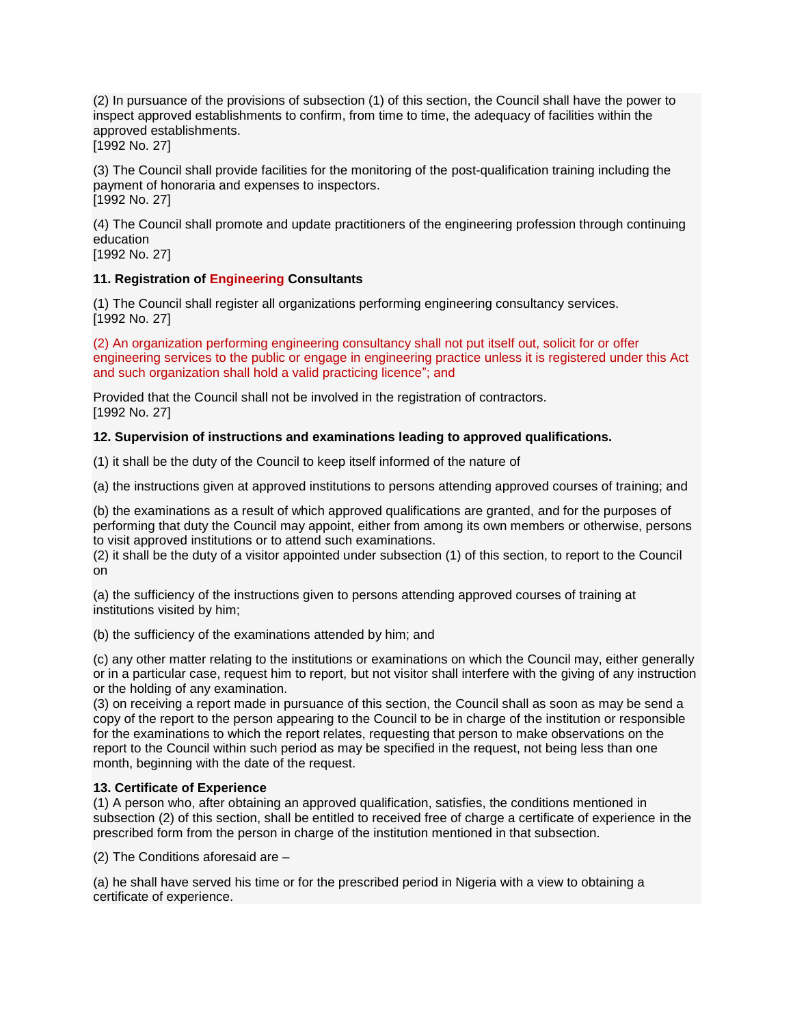(2) In pursuance of the provisions of subsection (1) of this section, the Council shall have the power to inspect approved establishments to confirm, from time to time, the adequacy of facilities within the approved establishments. [1992 No. 27]

(3) The Council shall provide facilities for the monitoring of the post-qualification training including the payment of honoraria and expenses to inspectors. [1992 No. 27]

(4) The Council shall promote and update practitioners of the engineering profession through continuing education

[1992 No. 27]

# **11. Registration of Engineering Consultants**

(1) The Council shall register all organizations performing engineering consultancy services. [1992 No. 27]

(2) An organization performing engineering consultancy shall not put itself out, solicit for or offer engineering services to the public or engage in engineering practice unless it is registered under this Act and such organization shall hold a valid practicing licence"; and

Provided that the Council shall not be involved in the registration of contractors. [1992 No. 27]

# **12. Supervision of instructions and examinations leading to approved qualifications.**

(1) it shall be the duty of the Council to keep itself informed of the nature of

(a) the instructions given at approved institutions to persons attending approved courses of training; and

(b) the examinations as a result of which approved qualifications are granted, and for the purposes of performing that duty the Council may appoint, either from among its own members or otherwise, persons to visit approved institutions or to attend such examinations.

(2) it shall be the duty of a visitor appointed under subsection (1) of this section, to report to the Council on

(a) the sufficiency of the instructions given to persons attending approved courses of training at institutions visited by him;

(b) the sufficiency of the examinations attended by him; and

(c) any other matter relating to the institutions or examinations on which the Council may, either generally or in a particular case, request him to report, but not visitor shall interfere with the giving of any instruction or the holding of any examination.

(3) on receiving a report made in pursuance of this section, the Council shall as soon as may be send a copy of the report to the person appearing to the Council to be in charge of the institution or responsible for the examinations to which the report relates, requesting that person to make observations on the report to the Council within such period as may be specified in the request, not being less than one month, beginning with the date of the request.

# **13. Certificate of Experience**

(1) A person who, after obtaining an approved qualification, satisfies, the conditions mentioned in subsection (2) of this section, shall be entitled to received free of charge a certificate of experience in the prescribed form from the person in charge of the institution mentioned in that subsection.

(2) The Conditions aforesaid are –

(a) he shall have served his time or for the prescribed period in Nigeria with a view to obtaining a certificate of experience.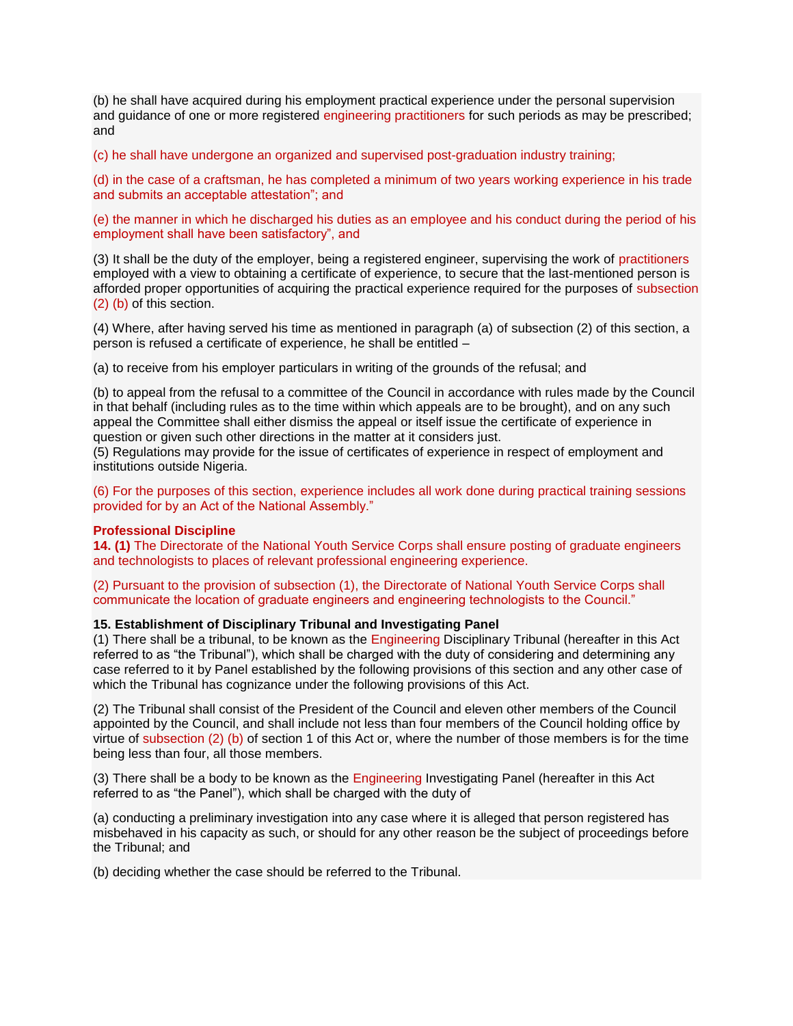(b) he shall have acquired during his employment practical experience under the personal supervision and guidance of one or more registered engineering practitioners for such periods as may be prescribed; and

(c) he shall have undergone an organized and supervised post-graduation industry training;

(d) in the case of a craftsman, he has completed a minimum of two years working experience in his trade and submits an acceptable attestation"; and

(e) the manner in which he discharged his duties as an employee and his conduct during the period of his employment shall have been satisfactory", and

(3) It shall be the duty of the employer, being a registered engineer, supervising the work of practitioners employed with a view to obtaining a certificate of experience, to secure that the last-mentioned person is afforded proper opportunities of acquiring the practical experience required for the purposes of subsection (2) (b) of this section.

(4) Where, after having served his time as mentioned in paragraph (a) of subsection (2) of this section, a person is refused a certificate of experience, he shall be entitled –

(a) to receive from his employer particulars in writing of the grounds of the refusal; and

(b) to appeal from the refusal to a committee of the Council in accordance with rules made by the Council in that behalf (including rules as to the time within which appeals are to be brought), and on any such appeal the Committee shall either dismiss the appeal or itself issue the certificate of experience in question or given such other directions in the matter at it considers just.

(5) Regulations may provide for the issue of certificates of experience in respect of employment and institutions outside Nigeria.

(6) For the purposes of this section, experience includes all work done during practical training sessions provided for by an Act of the National Assembly."

#### **Professional Discipline**

**14. (1)** The Directorate of the National Youth Service Corps shall ensure posting of graduate engineers and technologists to places of relevant professional engineering experience.

(2) Pursuant to the provision of subsection (1), the Directorate of National Youth Service Corps shall communicate the location of graduate engineers and engineering technologists to the Council."

## **15. Establishment of Disciplinary Tribunal and Investigating Panel**

(1) There shall be a tribunal, to be known as the Engineering Disciplinary Tribunal (hereafter in this Act referred to as "the Tribunal"), which shall be charged with the duty of considering and determining any case referred to it by Panel established by the following provisions of this section and any other case of which the Tribunal has cognizance under the following provisions of this Act.

(2) The Tribunal shall consist of the President of the Council and eleven other members of the Council appointed by the Council, and shall include not less than four members of the Council holding office by virtue of subsection (2) (b) of section 1 of this Act or, where the number of those members is for the time being less than four, all those members.

(3) There shall be a body to be known as the Engineering Investigating Panel (hereafter in this Act referred to as "the Panel"), which shall be charged with the duty of

(a) conducting a preliminary investigation into any case where it is alleged that person registered has misbehaved in his capacity as such, or should for any other reason be the subject of proceedings before the Tribunal; and

(b) deciding whether the case should be referred to the Tribunal.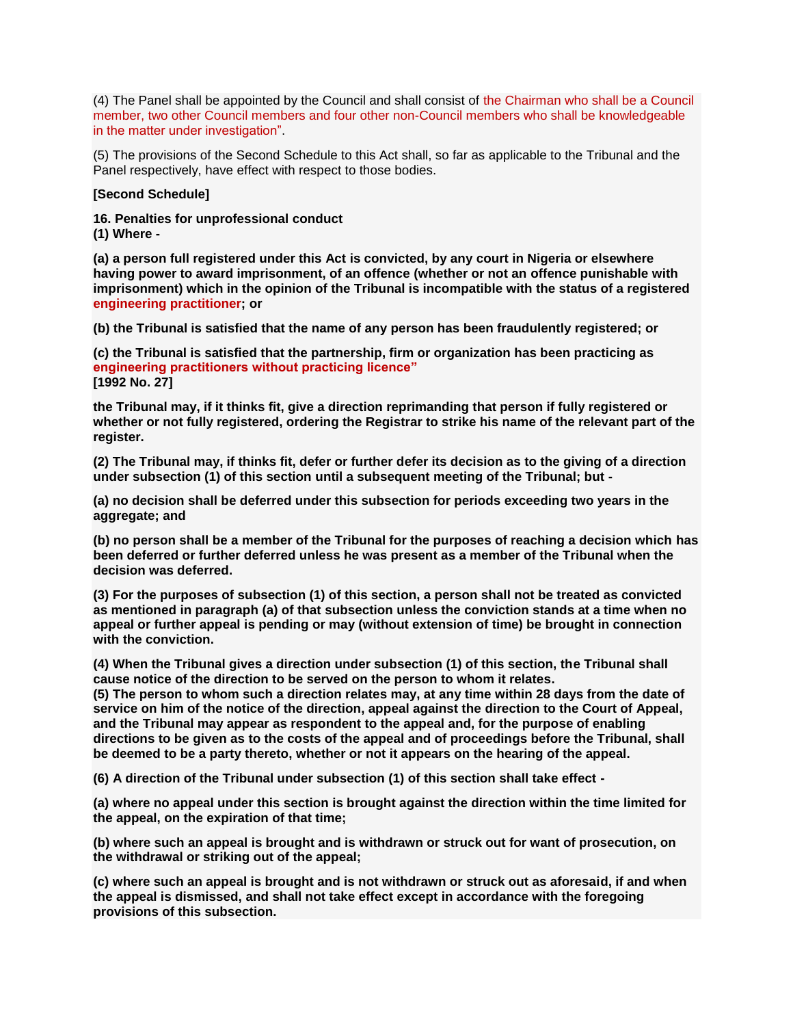(4) The Panel shall be appointed by the Council and shall consist of the Chairman who shall be a Council member, two other Council members and four other non-Council members who shall be knowledgeable in the matter under investigation".

(5) The provisions of the Second Schedule to this Act shall, so far as applicable to the Tribunal and the Panel respectively, have effect with respect to those bodies.

#### **[Second Schedule]**

**16. Penalties for unprofessional conduct (1) Where -**

**(a) a person full registered under this Act is convicted, by any court in Nigeria or elsewhere having power to award imprisonment, of an offence (whether or not an offence punishable with imprisonment) which in the opinion of the Tribunal is incompatible with the status of a registered engineering practitioner; or**

**(b) the Tribunal is satisfied that the name of any person has been fraudulently registered; or**

**(c) the Tribunal is satisfied that the partnership, firm or organization has been practicing as engineering practitioners without practicing licence" [1992 No. 27]**

**the Tribunal may, if it thinks fit, give a direction reprimanding that person if fully registered or whether or not fully registered, ordering the Registrar to strike his name of the relevant part of the register.**

**(2) The Tribunal may, if thinks fit, defer or further defer its decision as to the giving of a direction under subsection (1) of this section until a subsequent meeting of the Tribunal; but -**

**(a) no decision shall be deferred under this subsection for periods exceeding two years in the aggregate; and**

**(b) no person shall be a member of the Tribunal for the purposes of reaching a decision which has been deferred or further deferred unless he was present as a member of the Tribunal when the decision was deferred.**

**(3) For the purposes of subsection (1) of this section, a person shall not be treated as convicted as mentioned in paragraph (a) of that subsection unless the conviction stands at a time when no appeal or further appeal is pending or may (without extension of time) be brought in connection with the conviction.**

**(4) When the Tribunal gives a direction under subsection (1) of this section, the Tribunal shall cause notice of the direction to be served on the person to whom it relates.**

**(5) The person to whom such a direction relates may, at any time within 28 days from the date of service on him of the notice of the direction, appeal against the direction to the Court of Appeal, and the Tribunal may appear as respondent to the appeal and, for the purpose of enabling directions to be given as to the costs of the appeal and of proceedings before the Tribunal, shall be deemed to be a party thereto, whether or not it appears on the hearing of the appeal.**

**(6) A direction of the Tribunal under subsection (1) of this section shall take effect -**

**(a) where no appeal under this section is brought against the direction within the time limited for the appeal, on the expiration of that time;**

**(b) where such an appeal is brought and is withdrawn or struck out for want of prosecution, on the withdrawal or striking out of the appeal;**

**(c) where such an appeal is brought and is not withdrawn or struck out as aforesaid, if and when the appeal is dismissed, and shall not take effect except in accordance with the foregoing provisions of this subsection.**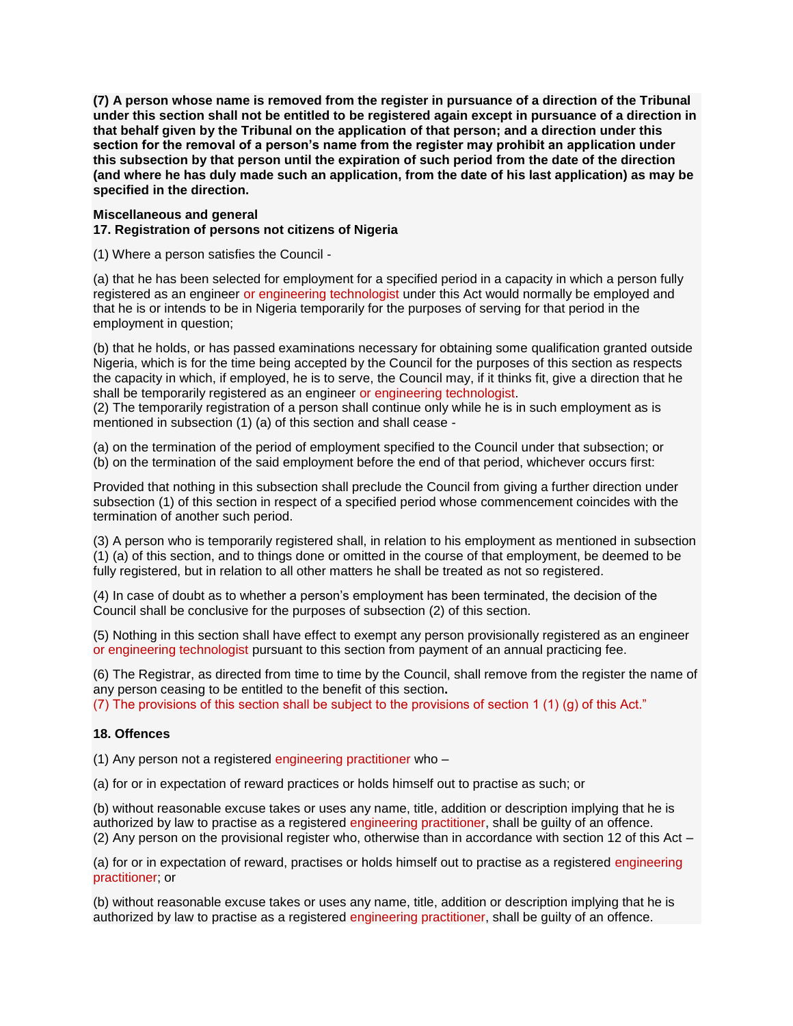**(7) A person whose name is removed from the register in pursuance of a direction of the Tribunal under this section shall not be entitled to be registered again except in pursuance of a direction in that behalf given by the Tribunal on the application of that person; and a direction under this section for the removal of a person's name from the register may prohibit an application under this subsection by that person until the expiration of such period from the date of the direction (and where he has duly made such an application, from the date of his last application) as may be specified in the direction.**

#### **Miscellaneous and general**

## **17. Registration of persons not citizens of Nigeria**

(1) Where a person satisfies the Council -

(a) that he has been selected for employment for a specified period in a capacity in which a person fully registered as an engineer or engineering technologist under this Act would normally be employed and that he is or intends to be in Nigeria temporarily for the purposes of serving for that period in the employment in question;

(b) that he holds, or has passed examinations necessary for obtaining some qualification granted outside Nigeria, which is for the time being accepted by the Council for the purposes of this section as respects the capacity in which, if employed, he is to serve, the Council may, if it thinks fit, give a direction that he shall be temporarily registered as an engineer or engineering technologist.

(2) The temporarily registration of a person shall continue only while he is in such employment as is mentioned in subsection (1) (a) of this section and shall cease -

(a) on the termination of the period of employment specified to the Council under that subsection; or (b) on the termination of the said employment before the end of that period, whichever occurs first:

Provided that nothing in this subsection shall preclude the Council from giving a further direction under subsection (1) of this section in respect of a specified period whose commencement coincides with the termination of another such period.

(3) A person who is temporarily registered shall, in relation to his employment as mentioned in subsection (1) (a) of this section, and to things done or omitted in the course of that employment, be deemed to be fully registered, but in relation to all other matters he shall be treated as not so registered.

(4) In case of doubt as to whether a person's employment has been terminated, the decision of the Council shall be conclusive for the purposes of subsection (2) of this section.

(5) Nothing in this section shall have effect to exempt any person provisionally registered as an engineer or engineering technologist pursuant to this section from payment of an annual practicing fee.

(6) The Registrar, as directed from time to time by the Council, shall remove from the register the name of any person ceasing to be entitled to the benefit of this section**.**

(7) The provisions of this section shall be subject to the provisions of section 1 (1) (g) of this Act."

#### **18. Offences**

(1) Any person not a registered engineering practitioner who –

(a) for or in expectation of reward practices or holds himself out to practise as such; or

(b) without reasonable excuse takes or uses any name, title, addition or description implying that he is authorized by law to practise as a registered engineering practitioner, shall be guilty of an offence. (2) Any person on the provisional register who, otherwise than in accordance with section 12 of this Act –

(a) for or in expectation of reward, practises or holds himself out to practise as a registered engineering practitioner; or

(b) without reasonable excuse takes or uses any name, title, addition or description implying that he is authorized by law to practise as a registered engineering practitioner, shall be guilty of an offence.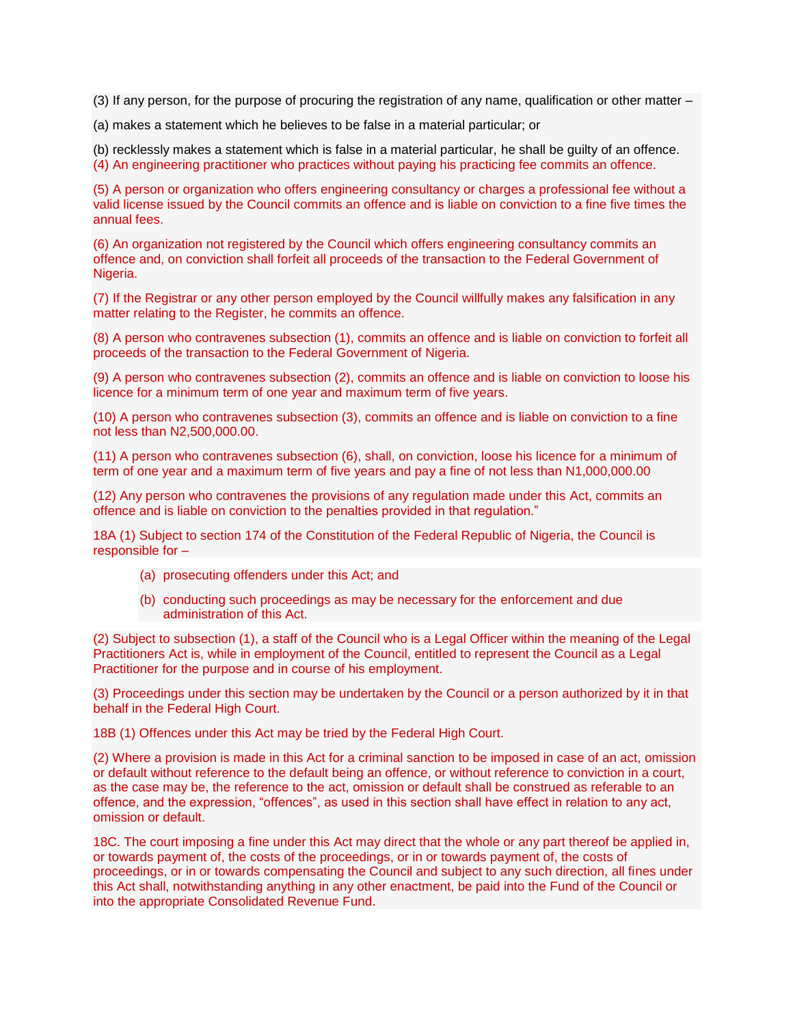(3) If any person, for the purpose of procuring the registration of any name, qualification or other matter –

(a) makes a statement which he believes to be false in a material particular; or

(b) recklessly makes a statement which is false in a material particular, he shall be guilty of an offence. (4) An engineering practitioner who practices without paying his practicing fee commits an offence.

(5) A person or organization who offers engineering consultancy or charges a professional fee without a valid license issued by the Council commits an offence and is liable on conviction to a fine five times the annual fees.

(6) An organization not registered by the Council which offers engineering consultancy commits an offence and, on conviction shall forfeit all proceeds of the transaction to the Federal Government of Nigeria.

(7) If the Registrar or any other person employed by the Council willfully makes any falsification in any matter relating to the Register, he commits an offence.

(8) A person who contravenes subsection (1), commits an offence and is liable on conviction to forfeit all proceeds of the transaction to the Federal Government of Nigeria.

(9) A person who contravenes subsection (2), commits an offence and is liable on conviction to loose his licence for a minimum term of one year and maximum term of five years.

(10) A person who contravenes subsection (3), commits an offence and is liable on conviction to a fine not less than N2,500,000.00.

(11) A person who contravenes subsection (6), shall, on conviction, loose his licence for a minimum of term of one year and a maximum term of five years and pay a fine of not less than N1,000,000.00

(12) Any person who contravenes the provisions of any regulation made under this Act, commits an offence and is liable on conviction to the penalties provided in that regulation."

18A (1) Subject to section 174 of the Constitution of the Federal Republic of Nigeria, the Council is responsible for –

- (a) prosecuting offenders under this Act; and
- (b) conducting such proceedings as may be necessary for the enforcement and due administration of this Act.

(2) Subject to subsection (1), a staff of the Council who is a Legal Officer within the meaning of the Legal Practitioners Act is, while in employment of the Council, entitled to represent the Council as a Legal Practitioner for the purpose and in course of his employment.

(3) Proceedings under this section may be undertaken by the Council or a person authorized by it in that behalf in the Federal High Court.

18B (1) Offences under this Act may be tried by the Federal High Court.

(2) Where a provision is made in this Act for a criminal sanction to be imposed in case of an act, omission or default without reference to the default being an offence, or without reference to conviction in a court, as the case may be, the reference to the act, omission or default shall be construed as referable to an offence, and the expression, "offences", as used in this section shall have effect in relation to any act, omission or default.

18C. The court imposing a fine under this Act may direct that the whole or any part thereof be applied in, or towards payment of, the costs of the proceedings, or in or towards payment of, the costs of proceedings, or in or towards compensating the Council and subject to any such direction, all fines under this Act shall, notwithstanding anything in any other enactment, be paid into the Fund of the Council or into the appropriate Consolidated Revenue Fund.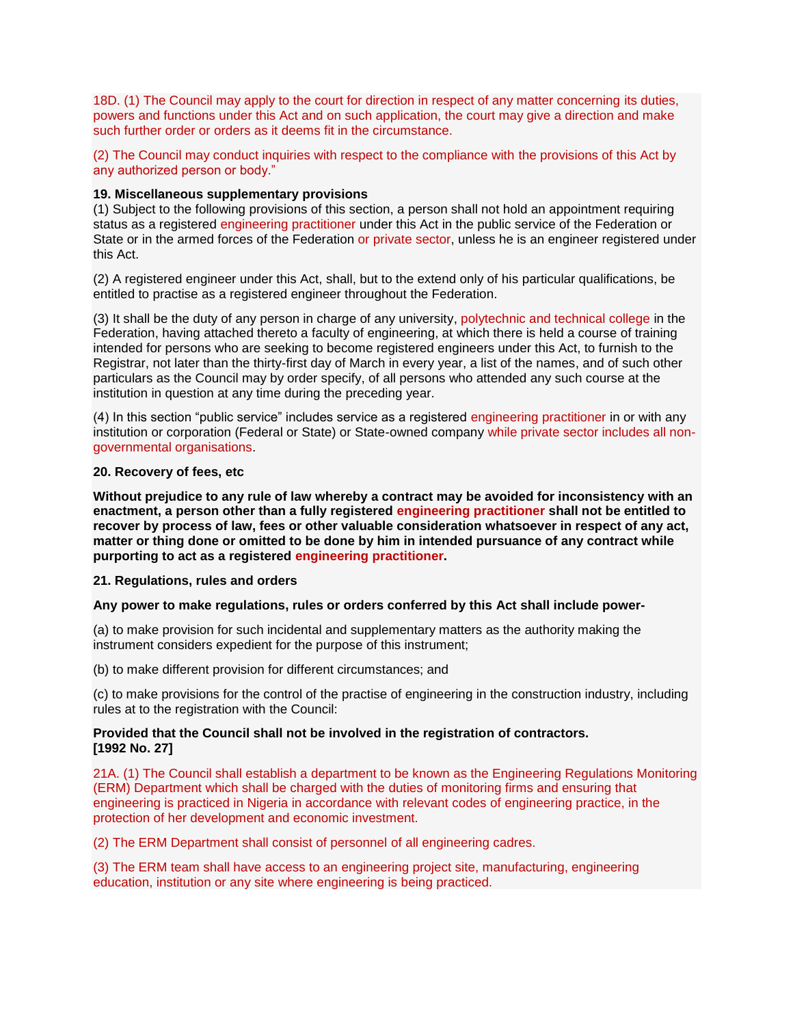18D. (1) The Council may apply to the court for direction in respect of any matter concerning its duties, powers and functions under this Act and on such application, the court may give a direction and make such further order or orders as it deems fit in the circumstance.

(2) The Council may conduct inquiries with respect to the compliance with the provisions of this Act by any authorized person or body."

#### **19. Miscellaneous supplementary provisions**

(1) Subject to the following provisions of this section, a person shall not hold an appointment requiring status as a registered engineering practitioner under this Act in the public service of the Federation or State or in the armed forces of the Federation or private sector, unless he is an engineer registered under this Act.

(2) A registered engineer under this Act, shall, but to the extend only of his particular qualifications, be entitled to practise as a registered engineer throughout the Federation.

(3) It shall be the duty of any person in charge of any university, polytechnic and technical college in the Federation, having attached thereto a faculty of engineering, at which there is held a course of training intended for persons who are seeking to become registered engineers under this Act, to furnish to the Registrar, not later than the thirty-first day of March in every year, a list of the names, and of such other particulars as the Council may by order specify, of all persons who attended any such course at the institution in question at any time during the preceding year.

(4) In this section "public service" includes service as a registered engineering practitioner in or with any institution or corporation (Federal or State) or State-owned company while private sector includes all nongovernmental organisations.

#### **20. Recovery of fees, etc**

**Without prejudice to any rule of law whereby a contract may be avoided for inconsistency with an enactment, a person other than a fully registered engineering practitioner shall not be entitled to recover by process of law, fees or other valuable consideration whatsoever in respect of any act, matter or thing done or omitted to be done by him in intended pursuance of any contract while purporting to act as a registered engineering practitioner.**

#### **21. Regulations, rules and orders**

#### **Any power to make regulations, rules or orders conferred by this Act shall include power-**

(a) to make provision for such incidental and supplementary matters as the authority making the instrument considers expedient for the purpose of this instrument;

(b) to make different provision for different circumstances; and

(c) to make provisions for the control of the practise of engineering in the construction industry, including rules at to the registration with the Council:

## **Provided that the Council shall not be involved in the registration of contractors. [1992 No. 27]**

21A. (1) The Council shall establish a department to be known as the Engineering Regulations Monitoring (ERM) Department which shall be charged with the duties of monitoring firms and ensuring that engineering is practiced in Nigeria in accordance with relevant codes of engineering practice, in the protection of her development and economic investment.

(2) The ERM Department shall consist of personnel of all engineering cadres.

(3) The ERM team shall have access to an engineering project site, manufacturing, engineering education, institution or any site where engineering is being practiced.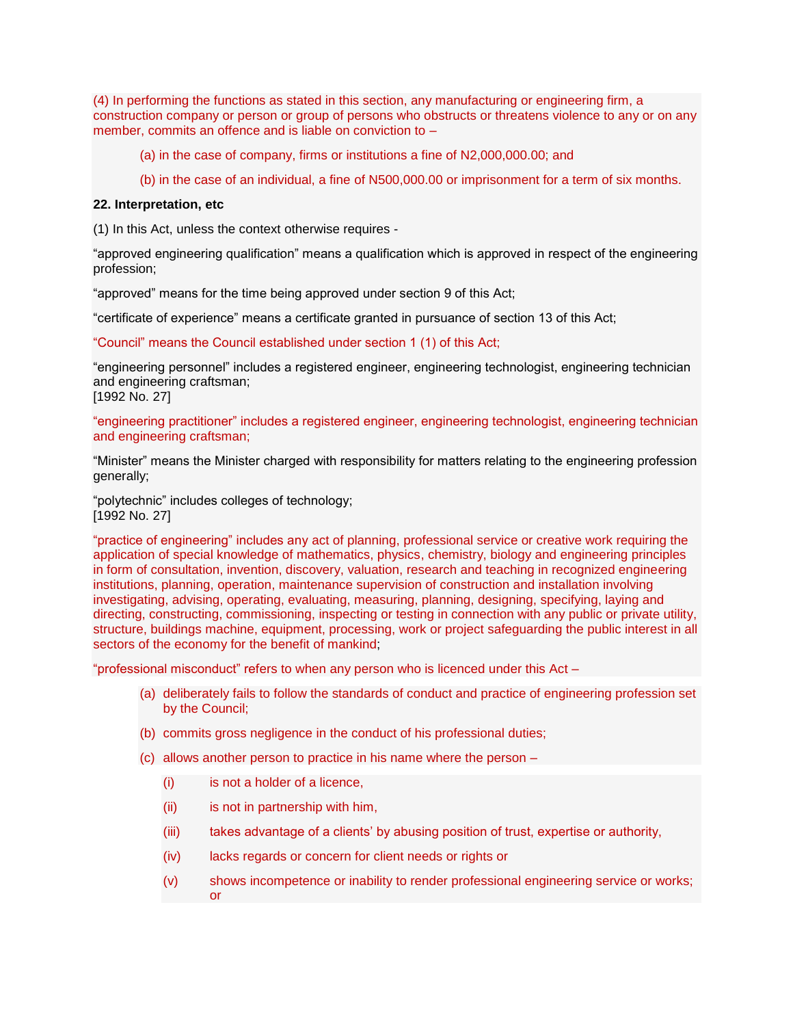(4) In performing the functions as stated in this section, any manufacturing or engineering firm, a construction company or person or group of persons who obstructs or threatens violence to any or on any member, commits an offence and is liable on conviction to –

(a) in the case of company, firms or institutions a fine of N2,000,000.00; and

(b) in the case of an individual, a fine of N500,000.00 or imprisonment for a term of six months.

## **22. Interpretation, etc**

(1) In this Act, unless the context otherwise requires -

"approved engineering qualification" means a qualification which is approved in respect of the engineering profession;

"approved" means for the time being approved under section 9 of this Act;

"certificate of experience" means a certificate granted in pursuance of section 13 of this Act;

"Council" means the Council established under section 1 (1) of this Act;

"engineering personnel" includes a registered engineer, engineering technologist, engineering technician and engineering craftsman; [1992 No. 27]

# "engineering practitioner" includes a registered engineer, engineering technologist, engineering technician and engineering craftsman;

"Minister" means the Minister charged with responsibility for matters relating to the engineering profession generally;

"polytechnic" includes colleges of technology; [1992 No. 27]

"practice of engineering" includes any act of planning, professional service or creative work requiring the application of special knowledge of mathematics, physics, chemistry, biology and engineering principles in form of consultation, invention, discovery, valuation, research and teaching in recognized engineering institutions, planning, operation, maintenance supervision of construction and installation involving investigating, advising, operating, evaluating, measuring, planning, designing, specifying, laying and directing, constructing, commissioning, inspecting or testing in connection with any public or private utility, structure, buildings machine, equipment, processing, work or project safeguarding the public interest in all sectors of the economy for the benefit of mankind;

"professional misconduct" refers to when any person who is licenced under this Act –

- (a) deliberately fails to follow the standards of conduct and practice of engineering profession set by the Council;
- (b) commits gross negligence in the conduct of his professional duties;
- (c) allows another person to practice in his name where the person
	- (i) is not a holder of a licence,
	- (ii) is not in partnership with him,
	- (iii) takes advantage of a clients' by abusing position of trust, expertise or authority,
	- (iv) lacks regards or concern for client needs or rights or
	- (v) shows incompetence or inability to render professional engineering service or works; or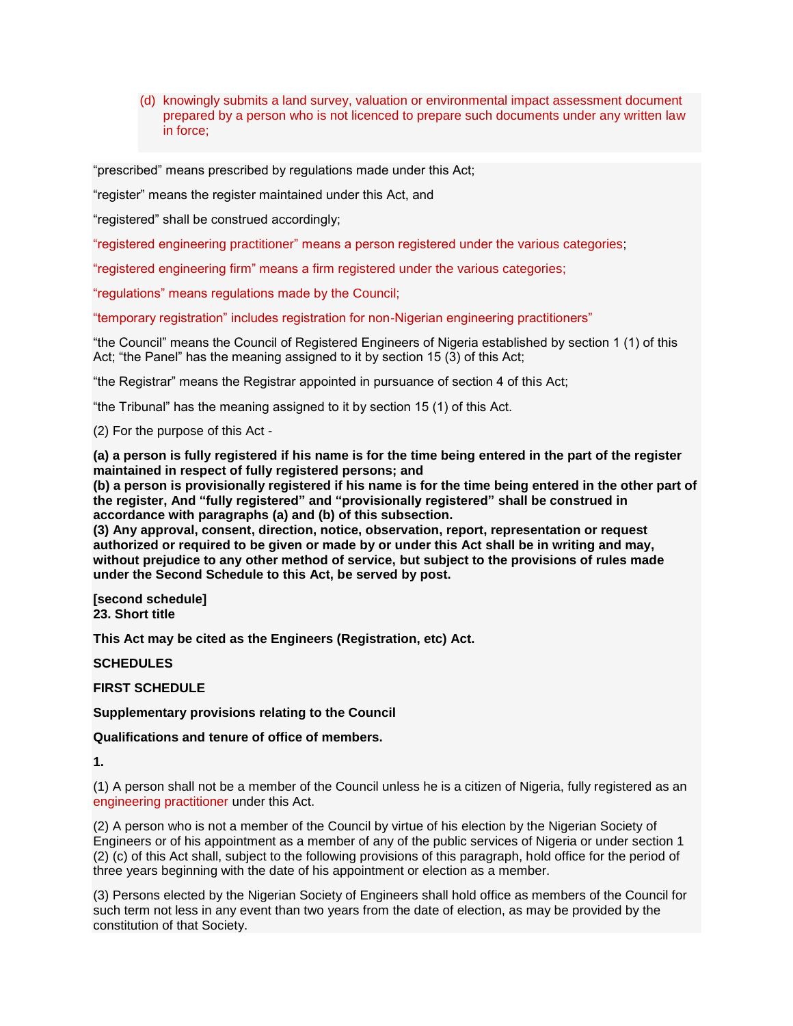(d) knowingly submits a land survey, valuation or environmental impact assessment document prepared by a person who is not licenced to prepare such documents under any written law in force;

"prescribed" means prescribed by regulations made under this Act;

"register" means the register maintained under this Act, and

"registered" shall be construed accordingly;

"registered engineering practitioner" means a person registered under the various categories;

"registered engineering firm" means a firm registered under the various categories;

"regulations" means regulations made by the Council;

"temporary registration" includes registration for non-Nigerian engineering practitioners"

"the Council" means the Council of Registered Engineers of Nigeria established by section 1 (1) of this Act; "the Panel" has the meaning assigned to it by section 15 (3) of this Act;

"the Registrar" means the Registrar appointed in pursuance of section 4 of this Act;

"the Tribunal" has the meaning assigned to it by section 15 (1) of this Act.

(2) For the purpose of this Act -

(a) a person is fully registered if his name is for the time being entered in the part of the register **maintained in respect of fully registered persons; and**

**(b) a person is provisionally registered if his name is for the time being entered in the other part of the register, And "fully registered" and "provisionally registered" shall be construed in accordance with paragraphs (a) and (b) of this subsection.**

**(3) Any approval, consent, direction, notice, observation, report, representation or request authorized or required to be given or made by or under this Act shall be in writing and may, without prejudice to any other method of service, but subject to the provisions of rules made under the Second Schedule to this Act, be served by post.**

**[second schedule] 23. Short title**

**This Act may be cited as the Engineers (Registration, etc) Act.**

**SCHEDULES**

**FIRST SCHEDULE**

**Supplementary provisions relating to the Council**

**Qualifications and tenure of office of members.**

**1.**

(1) A person shall not be a member of the Council unless he is a citizen of Nigeria, fully registered as an engineering practitioner under this Act.

(2) A person who is not a member of the Council by virtue of his election by the Nigerian Society of Engineers or of his appointment as a member of any of the public services of Nigeria or under section 1 (2) (c) of this Act shall, subject to the following provisions of this paragraph, hold office for the period of three years beginning with the date of his appointment or election as a member.

(3) Persons elected by the Nigerian Society of Engineers shall hold office as members of the Council for such term not less in any event than two years from the date of election, as may be provided by the constitution of that Society.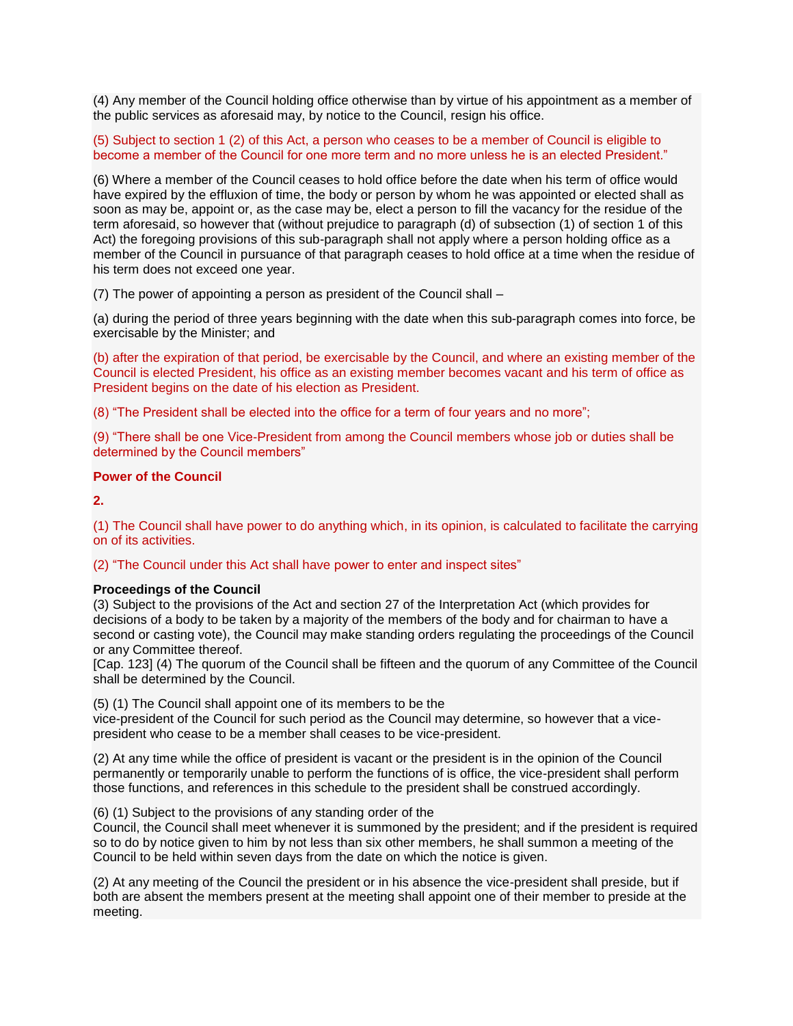(4) Any member of the Council holding office otherwise than by virtue of his appointment as a member of the public services as aforesaid may, by notice to the Council, resign his office.

(5) Subject to section 1 (2) of this Act, a person who ceases to be a member of Council is eligible to become a member of the Council for one more term and no more unless he is an elected President."

(6) Where a member of the Council ceases to hold office before the date when his term of office would have expired by the effluxion of time, the body or person by whom he was appointed or elected shall as soon as may be, appoint or, as the case may be, elect a person to fill the vacancy for the residue of the term aforesaid, so however that (without prejudice to paragraph (d) of subsection (1) of section 1 of this Act) the foregoing provisions of this sub-paragraph shall not apply where a person holding office as a member of the Council in pursuance of that paragraph ceases to hold office at a time when the residue of his term does not exceed one year.

(7) The power of appointing a person as president of the Council shall –

(a) during the period of three years beginning with the date when this sub-paragraph comes into force, be exercisable by the Minister; and

(b) after the expiration of that period, be exercisable by the Council, and where an existing member of the Council is elected President, his office as an existing member becomes vacant and his term of office as President begins on the date of his election as President.

(8) "The President shall be elected into the office for a term of four years and no more";

(9) "There shall be one Vice-President from among the Council members whose job or duties shall be determined by the Council members"

# **Power of the Council**

**2.**

(1) The Council shall have power to do anything which, in its opinion, is calculated to facilitate the carrying on of its activities.

(2) "The Council under this Act shall have power to enter and inspect sites"

#### **Proceedings of the Council**

(3) Subject to the provisions of the Act and section 27 of the Interpretation Act (which provides for decisions of a body to be taken by a majority of the members of the body and for chairman to have a second or casting vote), the Council may make standing orders regulating the proceedings of the Council or any Committee thereof.

[Cap. 123] (4) The quorum of the Council shall be fifteen and the quorum of any Committee of the Council shall be determined by the Council.

(5) (1) The Council shall appoint one of its members to be the

vice-president of the Council for such period as the Council may determine, so however that a vicepresident who cease to be a member shall ceases to be vice-president.

(2) At any time while the office of president is vacant or the president is in the opinion of the Council permanently or temporarily unable to perform the functions of is office, the vice-president shall perform those functions, and references in this schedule to the president shall be construed accordingly.

## (6) (1) Subject to the provisions of any standing order of the

Council, the Council shall meet whenever it is summoned by the president; and if the president is required so to do by notice given to him by not less than six other members, he shall summon a meeting of the Council to be held within seven days from the date on which the notice is given.

(2) At any meeting of the Council the president or in his absence the vice-president shall preside, but if both are absent the members present at the meeting shall appoint one of their member to preside at the meeting.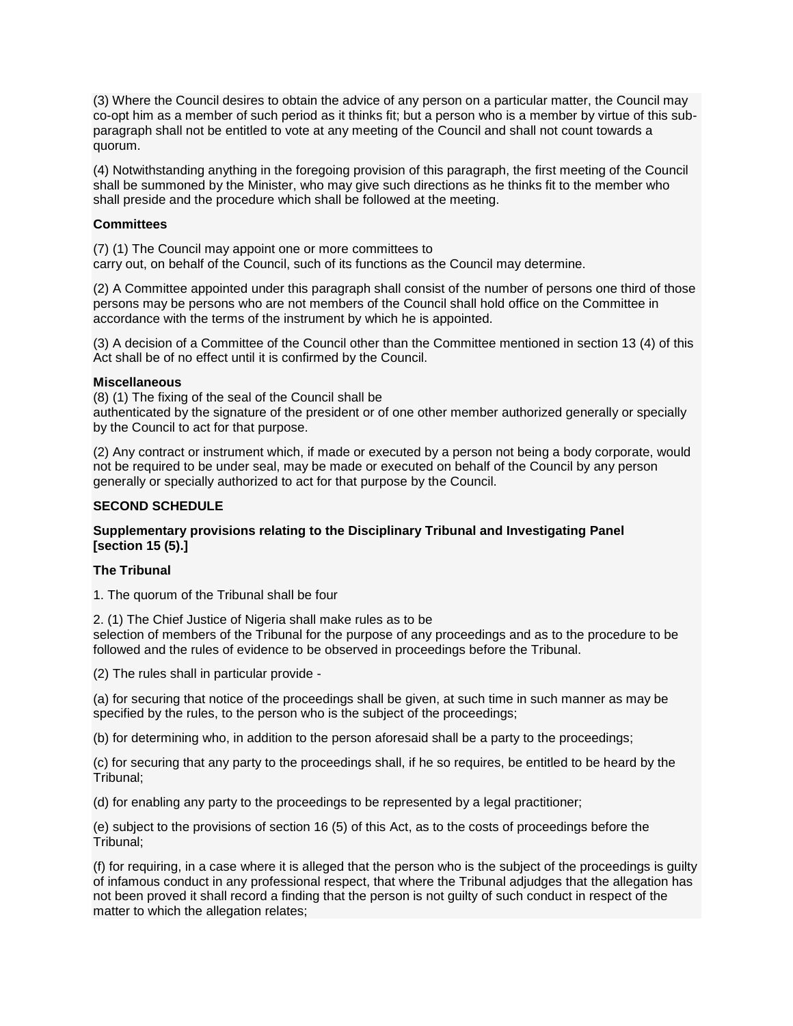(3) Where the Council desires to obtain the advice of any person on a particular matter, the Council may co-opt him as a member of such period as it thinks fit; but a person who is a member by virtue of this subparagraph shall not be entitled to vote at any meeting of the Council and shall not count towards a quorum.

(4) Notwithstanding anything in the foregoing provision of this paragraph, the first meeting of the Council shall be summoned by the Minister, who may give such directions as he thinks fit to the member who shall preside and the procedure which shall be followed at the meeting.

# **Committees**

(7) (1) The Council may appoint one or more committees to carry out, on behalf of the Council, such of its functions as the Council may determine.

(2) A Committee appointed under this paragraph shall consist of the number of persons one third of those persons may be persons who are not members of the Council shall hold office on the Committee in accordance with the terms of the instrument by which he is appointed.

(3) A decision of a Committee of the Council other than the Committee mentioned in section 13 (4) of this Act shall be of no effect until it is confirmed by the Council.

## **Miscellaneous**

(8) (1) The fixing of the seal of the Council shall be authenticated by the signature of the president or of one other member authorized generally or specially by the Council to act for that purpose.

(2) Any contract or instrument which, if made or executed by a person not being a body corporate, would not be required to be under seal, may be made or executed on behalf of the Council by any person generally or specially authorized to act for that purpose by the Council.

## **SECOND SCHEDULE**

# **Supplementary provisions relating to the Disciplinary Tribunal and Investigating Panel [section 15 (5).]**

## **The Tribunal**

1. The quorum of the Tribunal shall be four

2. (1) The Chief Justice of Nigeria shall make rules as to be selection of members of the Tribunal for the purpose of any proceedings and as to the procedure to be followed and the rules of evidence to be observed in proceedings before the Tribunal.

(2) The rules shall in particular provide -

(a) for securing that notice of the proceedings shall be given, at such time in such manner as may be specified by the rules, to the person who is the subject of the proceedings;

(b) for determining who, in addition to the person aforesaid shall be a party to the proceedings;

(c) for securing that any party to the proceedings shall, if he so requires, be entitled to be heard by the Tribunal;

(d) for enabling any party to the proceedings to be represented by a legal practitioner;

(e) subject to the provisions of section 16 (5) of this Act, as to the costs of proceedings before the Tribunal;

(f) for requiring, in a case where it is alleged that the person who is the subject of the proceedings is guilty of infamous conduct in any professional respect, that where the Tribunal adjudges that the allegation has not been proved it shall record a finding that the person is not guilty of such conduct in respect of the matter to which the allegation relates;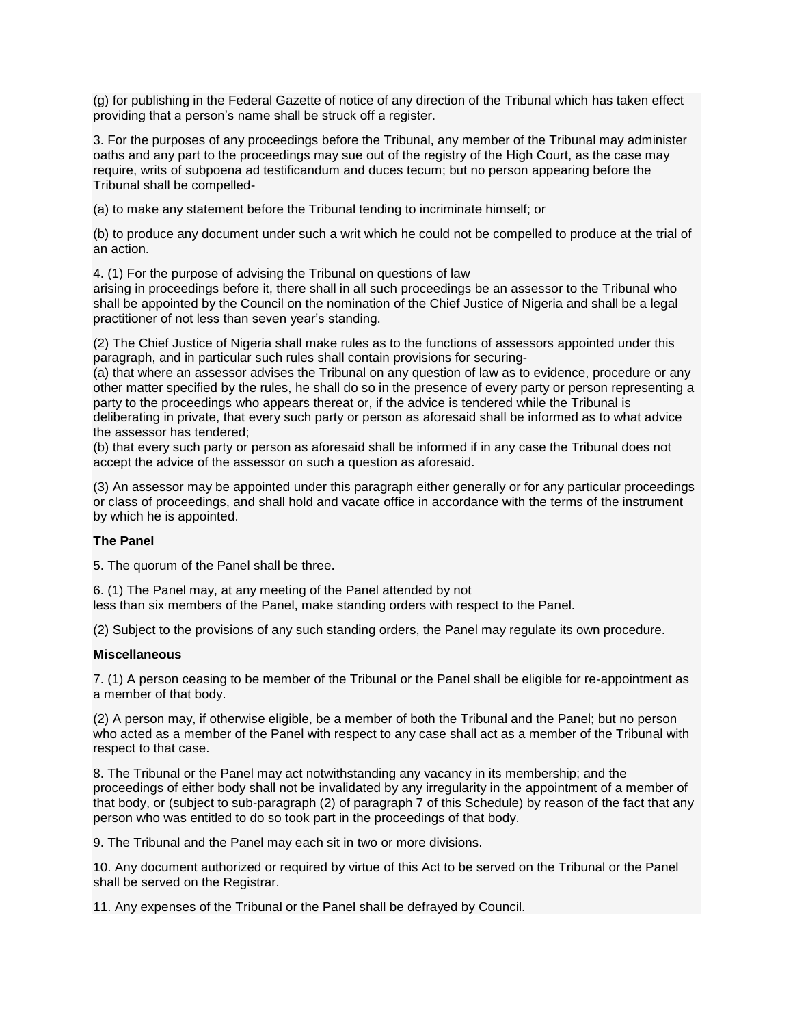(g) for publishing in the Federal Gazette of notice of any direction of the Tribunal which has taken effect providing that a person's name shall be struck off a register.

3. For the purposes of any proceedings before the Tribunal, any member of the Tribunal may administer oaths and any part to the proceedings may sue out of the registry of the High Court, as the case may require, writs of subpoena ad testificandum and duces tecum; but no person appearing before the Tribunal shall be compelled-

(a) to make any statement before the Tribunal tending to incriminate himself; or

(b) to produce any document under such a writ which he could not be compelled to produce at the trial of an action.

4. (1) For the purpose of advising the Tribunal on questions of law

arising in proceedings before it, there shall in all such proceedings be an assessor to the Tribunal who shall be appointed by the Council on the nomination of the Chief Justice of Nigeria and shall be a legal practitioner of not less than seven year's standing.

(2) The Chief Justice of Nigeria shall make rules as to the functions of assessors appointed under this paragraph, and in particular such rules shall contain provisions for securing-

(a) that where an assessor advises the Tribunal on any question of law as to evidence, procedure or any other matter specified by the rules, he shall do so in the presence of every party or person representing a party to the proceedings who appears thereat or, if the advice is tendered while the Tribunal is deliberating in private, that every such party or person as aforesaid shall be informed as to what advice the assessor has tendered;

(b) that every such party or person as aforesaid shall be informed if in any case the Tribunal does not accept the advice of the assessor on such a question as aforesaid.

(3) An assessor may be appointed under this paragraph either generally or for any particular proceedings or class of proceedings, and shall hold and vacate office in accordance with the terms of the instrument by which he is appointed.

# **The Panel**

5. The quorum of the Panel shall be three.

6. (1) The Panel may, at any meeting of the Panel attended by not less than six members of the Panel, make standing orders with respect to the Panel.

(2) Subject to the provisions of any such standing orders, the Panel may regulate its own procedure.

## **Miscellaneous**

7. (1) A person ceasing to be member of the Tribunal or the Panel shall be eligible for re-appointment as a member of that body.

(2) A person may, if otherwise eligible, be a member of both the Tribunal and the Panel; but no person who acted as a member of the Panel with respect to any case shall act as a member of the Tribunal with respect to that case.

8. The Tribunal or the Panel may act notwithstanding any vacancy in its membership; and the proceedings of either body shall not be invalidated by any irregularity in the appointment of a member of that body, or (subject to sub-paragraph (2) of paragraph 7 of this Schedule) by reason of the fact that any person who was entitled to do so took part in the proceedings of that body.

9. The Tribunal and the Panel may each sit in two or more divisions.

10. Any document authorized or required by virtue of this Act to be served on the Tribunal or the Panel shall be served on the Registrar.

11. Any expenses of the Tribunal or the Panel shall be defrayed by Council.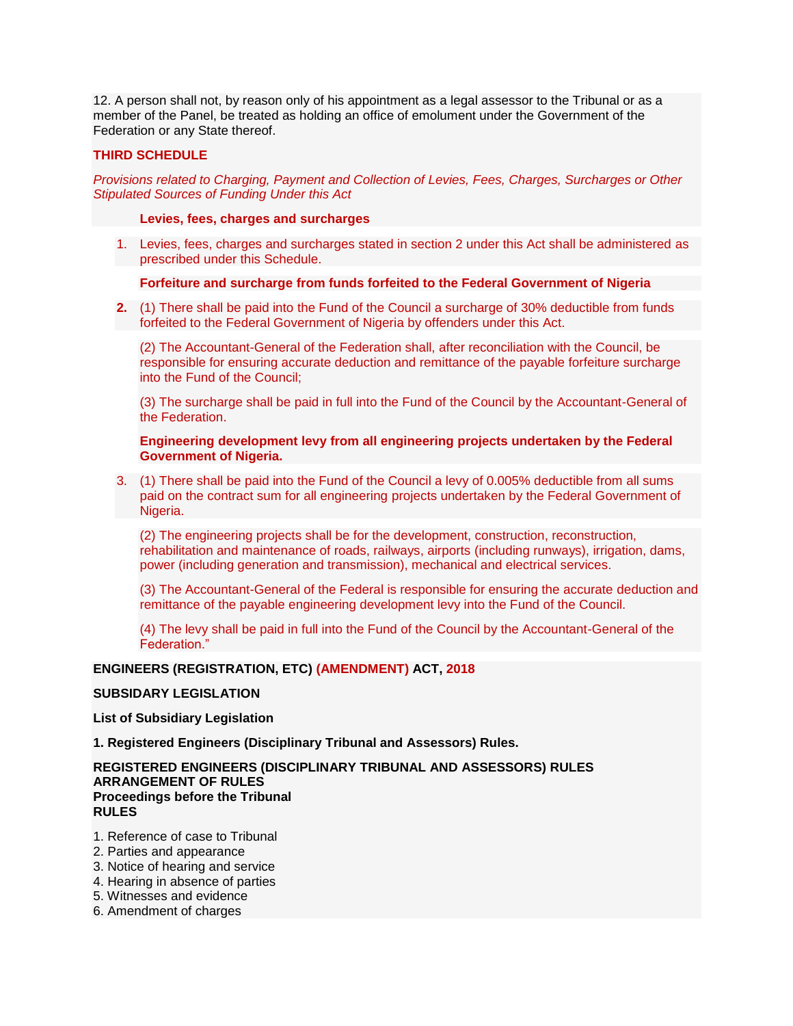12. A person shall not, by reason only of his appointment as a legal assessor to the Tribunal or as a member of the Panel, be treated as holding an office of emolument under the Government of the Federation or any State thereof.

# **THIRD SCHEDULE**

*Provisions related to Charging, Payment and Collection of Levies, Fees, Charges, Surcharges or Other Stipulated Sources of Funding Under this Act*

#### **Levies, fees, charges and surcharges**

1. Levies, fees, charges and surcharges stated in section 2 under this Act shall be administered as prescribed under this Schedule.

#### **Forfeiture and surcharge from funds forfeited to the Federal Government of Nigeria**

**2.** (1) There shall be paid into the Fund of the Council a surcharge of 30% deductible from funds forfeited to the Federal Government of Nigeria by offenders under this Act.

(2) The Accountant-General of the Federation shall, after reconciliation with the Council, be responsible for ensuring accurate deduction and remittance of the payable forfeiture surcharge into the Fund of the Council;

(3) The surcharge shall be paid in full into the Fund of the Council by the Accountant-General of the Federation.

#### **Engineering development levy from all engineering projects undertaken by the Federal Government of Nigeria.**

3. (1) There shall be paid into the Fund of the Council a levy of 0.005% deductible from all sums paid on the contract sum for all engineering projects undertaken by the Federal Government of Nigeria.

(2) The engineering projects shall be for the development, construction, reconstruction, rehabilitation and maintenance of roads, railways, airports (including runways), irrigation, dams, power (including generation and transmission), mechanical and electrical services.

(3) The Accountant-General of the Federal is responsible for ensuring the accurate deduction and remittance of the payable engineering development levy into the Fund of the Council.

(4) The levy shall be paid in full into the Fund of the Council by the Accountant-General of the Federation."

## **ENGINEERS (REGISTRATION, ETC) (AMENDMENT) ACT, 2018**

# **SUBSIDARY LEGISLATION**

#### **List of Subsidiary Legislation**

**1. Registered Engineers (Disciplinary Tribunal and Assessors) Rules.**

## **REGISTERED ENGINEERS (DISCIPLINARY TRIBUNAL AND ASSESSORS) RULES ARRANGEMENT OF RULES Proceedings before the Tribunal RULES**

- 1. Reference of case to Tribunal
- 2. Parties and appearance
- 3. Notice of hearing and service
- 4. Hearing in absence of parties
- 5. Witnesses and evidence
- 6. Amendment of charges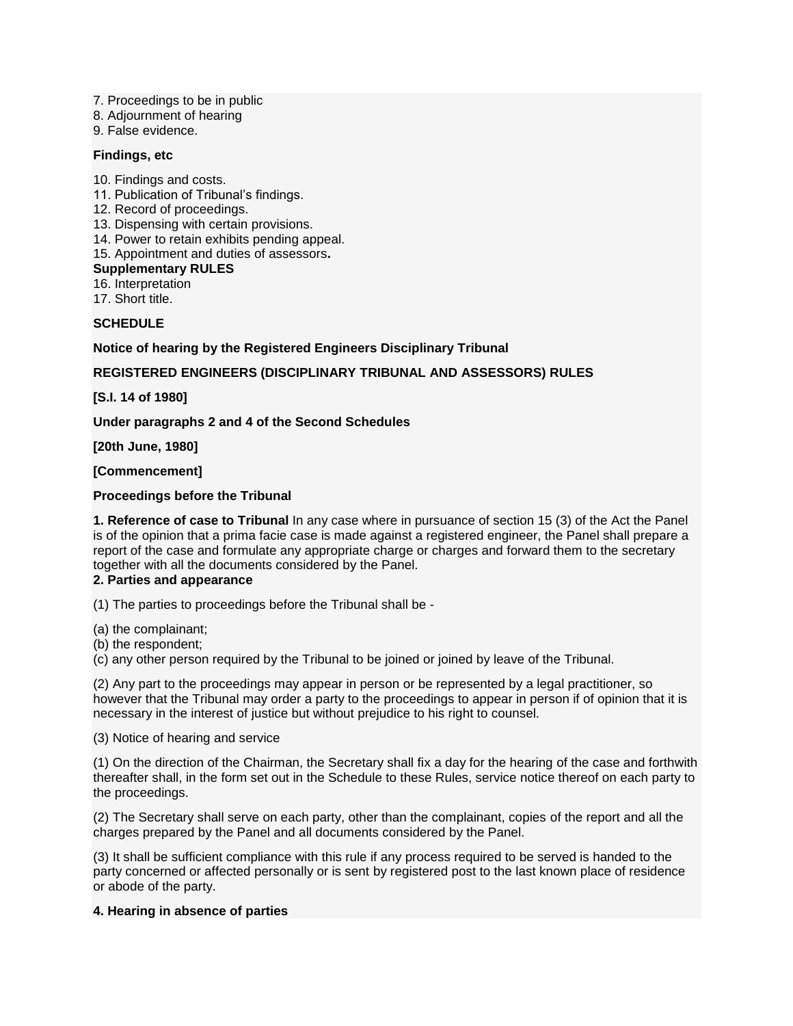- 7. Proceedings to be in public
- 8. Adjournment of hearing
- 9. False evidence.

## **Findings, etc**

- 10. Findings and costs.
- 11. Publication of Tribunal's findings.
- 12. Record of proceedings.
- 13. Dispensing with certain provisions.
- 14. Power to retain exhibits pending appeal.
- 15. Appointment and duties of assessors**.**

#### **Supplementary RULES**

16. Interpretation

17. Short title.

## **SCHEDULE**

## **Notice of hearing by the Registered Engineers Disciplinary Tribunal**

# **REGISTERED ENGINEERS (DISCIPLINARY TRIBUNAL AND ASSESSORS) RULES**

**[S.I. 14 of 1980]**

**Under paragraphs 2 and 4 of the Second Schedules**

**[20th June, 1980]**

**[Commencement]**

# **Proceedings before the Tribunal**

**1. Reference of case to Tribunal** In any case where in pursuance of section 15 (3) of the Act the Panel is of the opinion that a prima facie case is made against a registered engineer, the Panel shall prepare a report of the case and formulate any appropriate charge or charges and forward them to the secretary together with all the documents considered by the Panel.

# **2. Parties and appearance**

(1) The parties to proceedings before the Tribunal shall be -

(a) the complainant;

(b) the respondent;

(c) any other person required by the Tribunal to be joined or joined by leave of the Tribunal.

(2) Any part to the proceedings may appear in person or be represented by a legal practitioner, so however that the Tribunal may order a party to the proceedings to appear in person if of opinion that it is necessary in the interest of justice but without prejudice to his right to counsel.

(3) Notice of hearing and service

(1) On the direction of the Chairman, the Secretary shall fix a day for the hearing of the case and forthwith thereafter shall, in the form set out in the Schedule to these Rules, service notice thereof on each party to the proceedings.

(2) The Secretary shall serve on each party, other than the complainant, copies of the report and all the charges prepared by the Panel and all documents considered by the Panel.

(3) It shall be sufficient compliance with this rule if any process required to be served is handed to the party concerned or affected personally or is sent by registered post to the last known place of residence or abode of the party.

## **4. Hearing in absence of parties**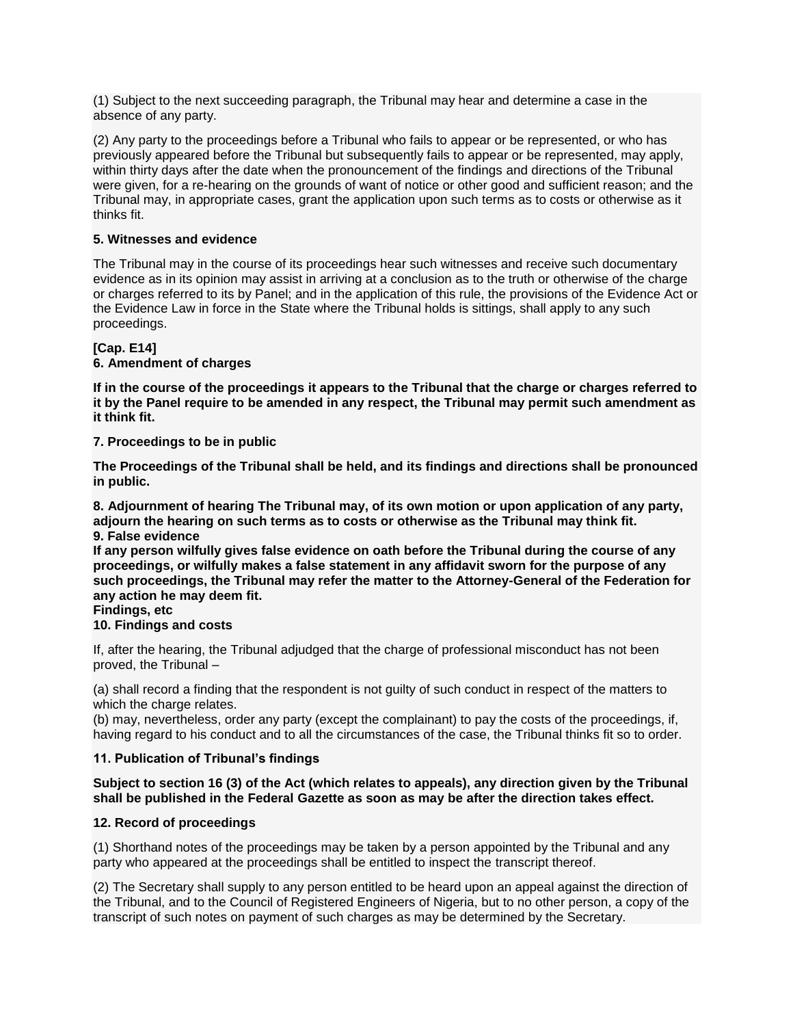(1) Subject to the next succeeding paragraph, the Tribunal may hear and determine a case in the absence of any party.

(2) Any party to the proceedings before a Tribunal who fails to appear or be represented, or who has previously appeared before the Tribunal but subsequently fails to appear or be represented, may apply, within thirty days after the date when the pronouncement of the findings and directions of the Tribunal were given, for a re-hearing on the grounds of want of notice or other good and sufficient reason; and the Tribunal may, in appropriate cases, grant the application upon such terms as to costs or otherwise as it thinks fit.

# **5. Witnesses and evidence**

The Tribunal may in the course of its proceedings hear such witnesses and receive such documentary evidence as in its opinion may assist in arriving at a conclusion as to the truth or otherwise of the charge or charges referred to its by Panel; and in the application of this rule, the provisions of the Evidence Act or the Evidence Law in force in the State where the Tribunal holds is sittings, shall apply to any such proceedings.

# **[Cap. E14]**

# **6. Amendment of charges**

**If in the course of the proceedings it appears to the Tribunal that the charge or charges referred to it by the Panel require to be amended in any respect, the Tribunal may permit such amendment as it think fit.**

# **7. Proceedings to be in public**

**The Proceedings of the Tribunal shall be held, and its findings and directions shall be pronounced in public.**

**8. Adjournment of hearing The Tribunal may, of its own motion or upon application of any party, adjourn the hearing on such terms as to costs or otherwise as the Tribunal may think fit. 9. False evidence**

**If any person wilfully gives false evidence on oath before the Tribunal during the course of any proceedings, or wilfully makes a false statement in any affidavit sworn for the purpose of any such proceedings, the Tribunal may refer the matter to the Attorney-General of the Federation for any action he may deem fit.**

# **Findings, etc**

**10. Findings and costs**

If, after the hearing, the Tribunal adjudged that the charge of professional misconduct has not been proved, the Tribunal –

(a) shall record a finding that the respondent is not guilty of such conduct in respect of the matters to which the charge relates.

(b) may, nevertheless, order any party (except the complainant) to pay the costs of the proceedings, if, having regard to his conduct and to all the circumstances of the case, the Tribunal thinks fit so to order.

# **11. Publication of Tribunal's findings**

## **Subject to section 16 (3) of the Act (which relates to appeals), any direction given by the Tribunal shall be published in the Federal Gazette as soon as may be after the direction takes effect.**

# **12. Record of proceedings**

(1) Shorthand notes of the proceedings may be taken by a person appointed by the Tribunal and any party who appeared at the proceedings shall be entitled to inspect the transcript thereof.

(2) The Secretary shall supply to any person entitled to be heard upon an appeal against the direction of the Tribunal, and to the Council of Registered Engineers of Nigeria, but to no other person, a copy of the transcript of such notes on payment of such charges as may be determined by the Secretary.